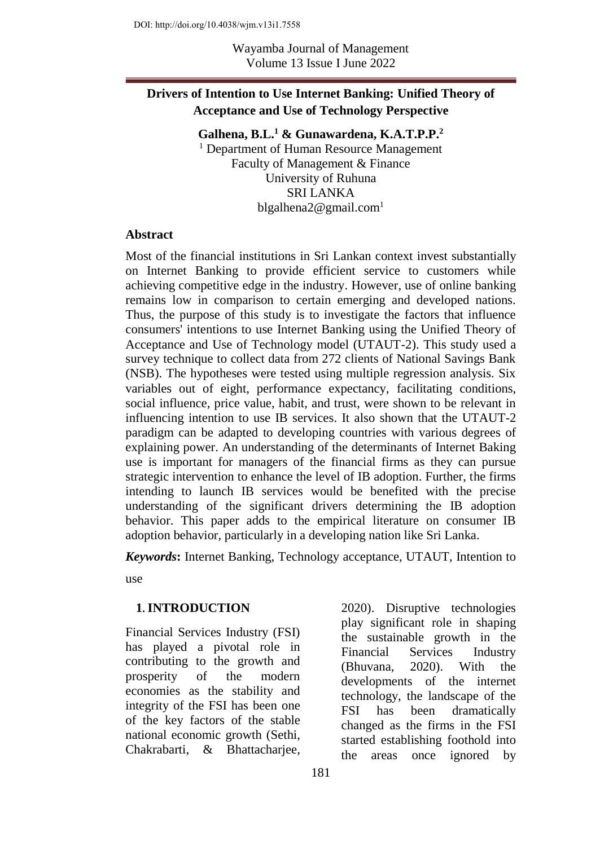## **Drivers of Intention to Use Internet Banking: Unified Theory of Acceptance and Use of Technology Perspective**

#### **Galhena, B.L.<sup>1</sup> & Gunawardena, K.A.T.P.P.<sup>2</sup>**

<sup>1</sup> Department of Human Resource Management Faculty of Management & Finance University of Ruhuna SRI LANKA blgalhena $2@$ gmail.com<sup>1</sup>

#### **Abstract**

Most of the financial institutions in Sri Lankan context invest substantially on Internet Banking to provide efficient service to customers while achieving competitive edge in the industry. However, use of online banking remains low in comparison to certain emerging and developed nations. Thus, the purpose of this study is to investigate the factors that influence consumers' intentions to use Internet Banking using the Unified Theory of Acceptance and Use of Technology model (UTAUT-2). This study used a survey technique to collect data from 272 clients of National Savings Bank (NSB). The hypotheses were tested using multiple regression analysis. Six variables out of eight, performance expectancy, facilitating conditions, social influence, price value, habit, and trust, were shown to be relevant in influencing intention to use IB services. It also shown that the UTAUT-2 paradigm can be adapted to developing countries with various degrees of explaining power. An understanding of the determinants of Internet Baking use is important for managers of the financial firms as they can pursue strategic intervention to enhance the level of IB adoption. Further, the firms intending to launch IB services would be benefited with the precise understanding of the significant drivers determining the IB adoption behavior. This paper adds to the empirical literature on consumer IB adoption behavior, particularly in a developing nation like Sri Lanka.

*Keywords***:** Internet Banking, Technology acceptance, UTAUT, Intention to

use

#### **1. INTRODUCTION**

Financial Services Industry (FSI) has played a pivotal role in contributing to the growth and prosperity of the modern economies as the stability and integrity of the FSI has been one of the key factors of the stable national economic growth (Sethi, Chakrabarti, & Bhattacharjee,

2020). Disruptive technologies play significant role in shaping the sustainable growth in the Financial Services Industry (Bhuvana, 2020). With the developments of the internet technology, the landscape of the FSI has been dramatically changed as the firms in the FSI started establishing foothold into the areas once ignored by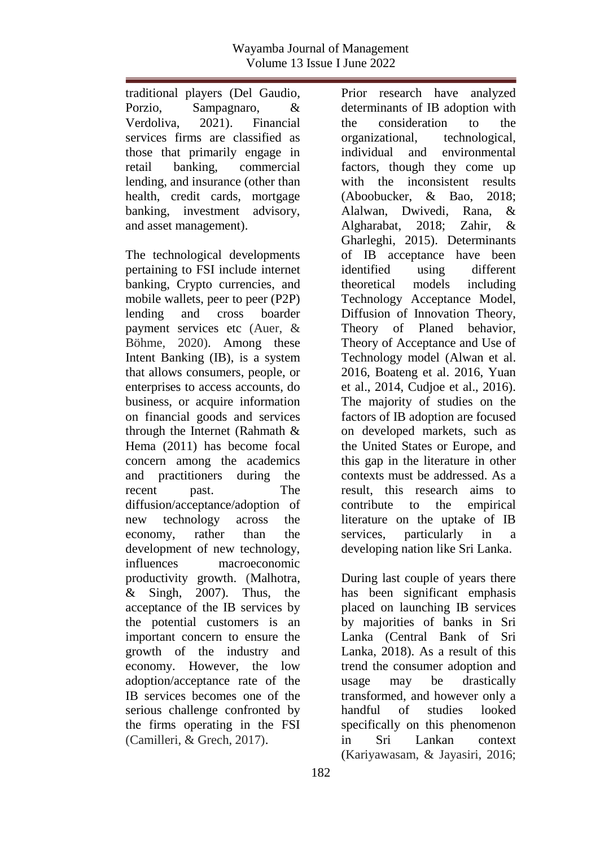traditional players (Del Gaudio, Porzio, Sampagnaro, & Verdoliva, 2021). Financial services firms are classified as those that primarily engage in retail banking, commercial lending, and insurance (other than health, credit cards, mortgage banking, investment advisory, and asset management).

The technological developments pertaining to FSI include internet banking, Crypto currencies, and mobile wallets, peer to peer (P2P) lending and cross boarder payment services etc (Auer, & Böhme, 2020). Among these Intent Banking (IB), is a system that allows consumers, people, or enterprises to access accounts, do business, or acquire information on financial goods and services through the Internet (Rahmath & Hema (2011) has become focal concern among the academics and practitioners during the recent past. The diffusion/acceptance/adoption of new technology across the economy, rather than the development of new technology, influences macroeconomic productivity growth. (Malhotra,  $&$  Singh, 2007). Thus, the acceptance of the IB services by the potential customers is an important concern to ensure the growth of the industry and economy. However, the low adoption/acceptance rate of the IB services becomes one of the serious challenge confronted by the firms operating in the FSI (Camilleri, & Grech, 2017).

Prior research have analyzed determinants of IB adoption with the consideration to the organizational, technological, individual and environmental factors, though they come up with the inconsistent results (Aboobucker, & Bao, 2018; Alalwan, Dwivedi, Rana, & Algharabat, 2018; Zahir, & Gharleghi, 2015). Determinants of IB acceptance have been identified using different theoretical models including Technology Acceptance Model, Diffusion of Innovation Theory, Theory of Planed behavior, Theory of Acceptance and Use of Technology model (Alwan et al. 2016, Boateng et al. 2016, Yuan et al., 2014, Cudjoe et al., 2016). The majority of studies on the factors of IB adoption are focused on developed markets, such as the United States or Europe, and this gap in the literature in other contexts must be addressed. As a result, this research aims to contribute to the empirical literature on the uptake of IB services, particularly in a developing nation like Sri Lanka.

During last couple of years there has been significant emphasis placed on launching IB services by majorities of banks in Sri Lanka (Central Bank of Sri Lanka, 2018). As a result of this trend the consumer adoption and usage may be drastically transformed, and however only a handful of studies looked specifically on this phenomenon in Sri Lankan context (Kariyawasam, & Jayasiri, 2016;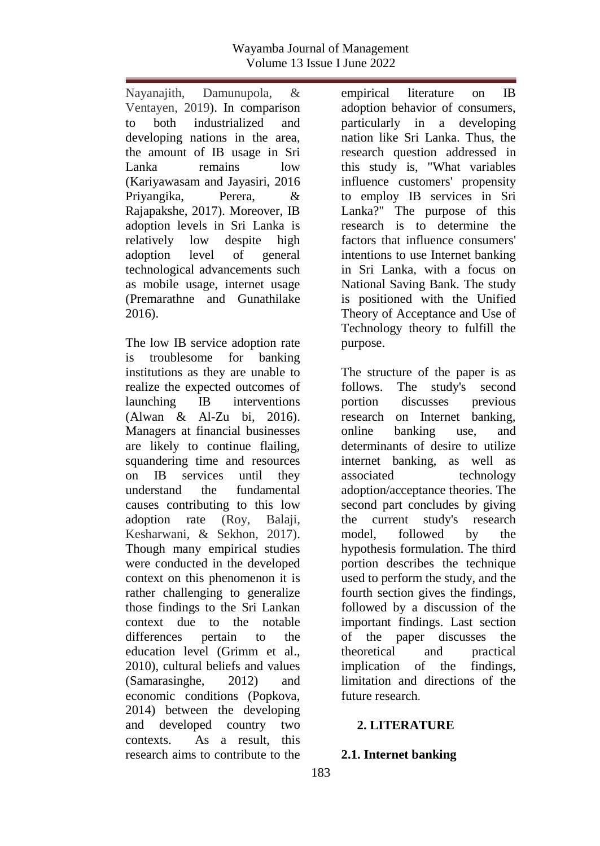Nayanajith, Damunupola, & Ventayen, 2019). In comparison to both industrialized and developing nations in the area, the amount of IB usage in Sri Lanka remains low (Kariyawasam and Jayasiri, 2016 Priyangika, Perera, & Rajapakshe, 2017). Moreover, IB adoption levels in Sri Lanka is relatively low despite high adoption level of general technological advancements such as mobile usage, internet usage (Premarathne and Gunathilake 2016).

The low IB service adoption rate is troublesome for banking institutions as they are unable to realize the expected outcomes of launching IB interventions (Alwan & Al-Zu bi, 2016). Managers at financial businesses are likely to continue flailing, squandering time and resources on IB services until they understand the fundamental causes contributing to this low adoption rate (Roy, Balaji, Kesharwani, & Sekhon, 2017). Though many empirical studies were conducted in the developed context on this phenomenon it is rather challenging to generalize those findings to the Sri Lankan context due to the notable differences pertain to the education level (Grimm et al., 2010), cultural beliefs and values (Samarasinghe, 2012) and economic conditions (Popkova, 2014) between the developing and developed country two contexts. As a result, this research aims to contribute to the

empirical literature on IB adoption behavior of consumers, particularly in a developing nation like Sri Lanka. Thus, the research question addressed in this study is, "What variables influence customers' propensity to employ IB services in Sri Lanka?" The purpose of this research is to determine the factors that influence consumers' intentions to use Internet banking in Sri Lanka, with a focus on National Saving Bank. The study is positioned with the Unified Theory of Acceptance and Use of Technology theory to fulfill the purpose.

The structure of the paper is as follows. The study's second portion discusses previous research on Internet banking, online banking use, and determinants of desire to utilize internet banking, as well as associated technology adoption/acceptance theories. The second part concludes by giving the current study's research model, followed by the hypothesis formulation. The third portion describes the technique used to perform the study, and the fourth section gives the findings, followed by a discussion of the important findings. Last section of the paper discusses the theoretical and practical implication of the findings, limitation and directions of the future research.

#### **2. LITERATURE**

#### **2.1. Internet banking**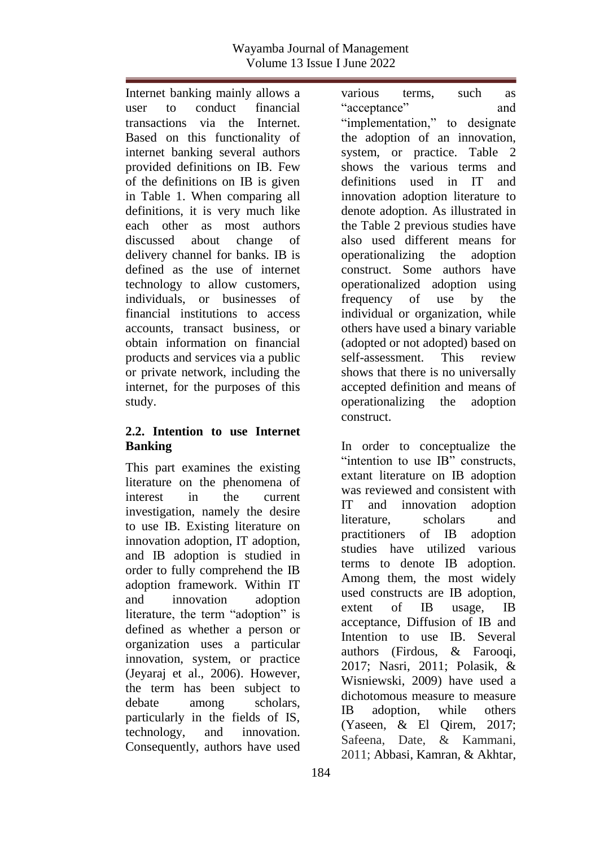Internet banking mainly allows a user to conduct financial transactions via the Internet. Based on this functionality of internet banking several authors provided definitions on IB. Few of the definitions on IB is given in Table 1. When comparing all definitions, it is very much like each other as most authors discussed about change of delivery channel for banks. IB is defined as the use of internet technology to allow customers, individuals, or businesses of financial institutions to access accounts, transact business, or obtain information on financial products and services via a public or private network, including the internet, for the purposes of this study.

#### **2.2. Intention to use Internet Banking**

This part examines the existing literature on the phenomena of interest in the current investigation, namely the desire to use IB. Existing literature on innovation adoption, IT adoption, and IB adoption is studied in order to fully comprehend the IB adoption framework. Within IT and innovation adoption literature, the term "adoption" is defined as whether a person or organization uses a particular innovation, system, or practice (Jeyaraj et al., 2006). However, the term has been subject to debate among scholars, particularly in the fields of IS, technology, and innovation. Consequently, authors have used

various terms, such as "acceptance" and "implementation," to designate the adoption of an innovation, system, or practice. Table 2 shows the various terms and definitions used in IT and innovation adoption literature to denote adoption. As illustrated in the Table 2 previous studies have also used different means for operationalizing the adoption construct. Some authors have operationalized adoption using frequency of use by the individual or organization, while others have used a binary variable (adopted or not adopted) based on self-assessment. This review shows that there is no universally accepted definition and means of operationalizing the adoption construct.

In order to conceptualize the "intention to use IB" constructs, extant literature on IB adoption was reviewed and consistent with IT and innovation adoption literature, scholars and practitioners of IB adoption studies have utilized various terms to denote IB adoption. Among them, the most widely used constructs are IB adoption, extent of IB usage, IB acceptance, Diffusion of IB and Intention to use IB. Several authors (Firdous, & Farooqi, 2017; Nasri, 2011; Polasik, & Wisniewski, 2009) have used a dichotomous measure to measure IB adoption, while others (Yaseen, & El Qirem, 2017; Safeena, Date, & Kammani, 2011; Abbasi, Kamran, & Akhtar,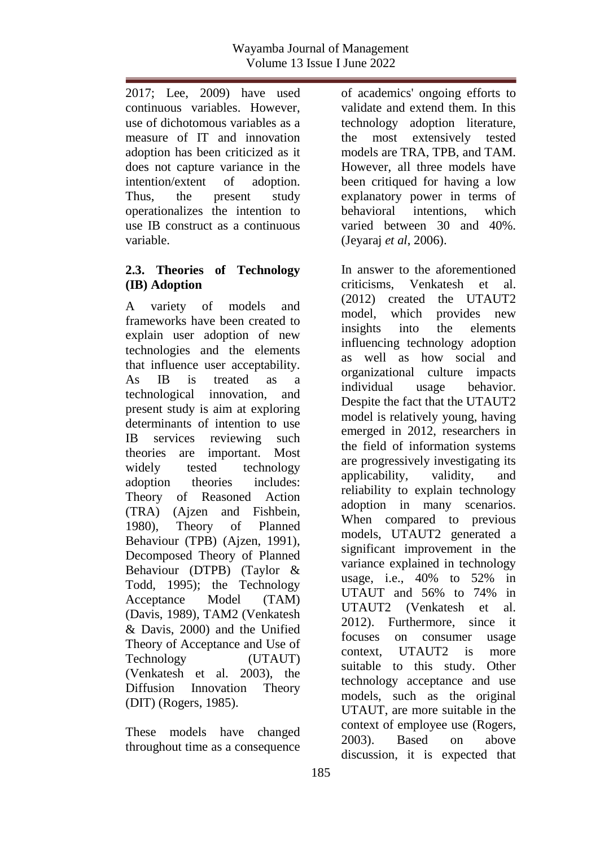2017; Lee, 2009) have used continuous variables. However, use of dichotomous variables as a measure of IT and innovation adoption has been criticized as it does not capture variance in the intention/extent of adoption. Thus, the present study operationalizes the intention to use IB construct as a continuous variable.

#### **2.3. Theories of Technology (IB) Adoption**

A variety of models and frameworks have been created to explain user adoption of new technologies and the elements that influence user acceptability. As IB is treated as a technological innovation, and present study is aim at exploring determinants of intention to use IB services reviewing such theories are important. Most widely tested technology adoption theories includes: Theory of Reasoned Action (TRA) (Ajzen and Fishbein, 1980), Theory of Planned Behaviour (TPB) (Ajzen, 1991), Decomposed Theory of Planned Behaviour (DTPB) (Taylor & Todd, 1995); the Technology Acceptance Model (TAM) (Davis, 1989), TAM2 (Venkatesh & Davis, 2000) and the Unified Theory of Acceptance and Use of Technology (UTAUT) (Venkatesh et al. 2003), the Diffusion Innovation Theory (DIT) (Rogers, 1985).

These models have changed throughout time as a consequence of academics' ongoing efforts to validate and extend them. In this technology adoption literature, the most extensively tested models are TRA, TPB, and TAM. However, all three models have been critiqued for having a low explanatory power in terms of behavioral intentions, which varied between 30 and 40%. (Jeyaraj *et al*, 2006).

In answer to the aforementioned criticisms, Venkatesh et al. (2012) created the UTAUT2 model, which provides new insights into the elements influencing technology adoption as well as how social and organizational culture impacts individual usage behavior. Despite the fact that the UTAUT2 model is relatively young, having emerged in 2012, researchers in the field of information systems are progressively investigating its applicability, validity, and reliability to explain technology adoption in many scenarios. When compared to previous models, UTAUT2 generated a significant improvement in the variance explained in technology usage, i.e., 40% to 52% in UTAUT and 56% to 74% in UTAUT2 (Venkatesh et al. 2012). Furthermore, since it focuses on consumer usage context, UTAUT2 is more suitable to this study. Other technology acceptance and use models, such as the original UTAUT, are more suitable in the context of employee use (Rogers, 2003). Based on above discussion, it is expected that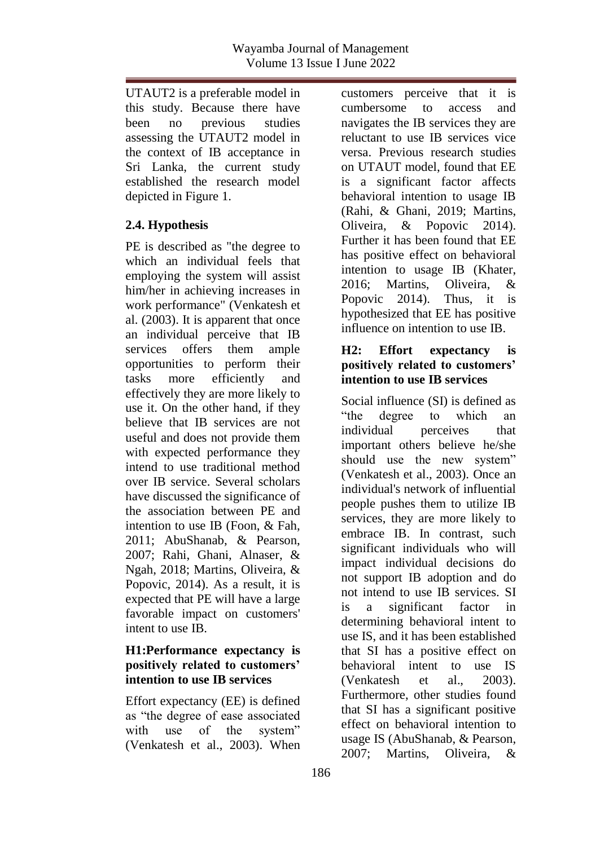UTAUT2 is a preferable model in this study. Because there have been no previous studies assessing the UTAUT2 model in the context of IB acceptance in Sri Lanka, the current study established the research model depicted in Figure 1.

## **2.4. Hypothesis**

PE is described as "the degree to which an individual feels that employing the system will assist him/her in achieving increases in work performance" (Venkatesh et al. (2003). It is apparent that once an individual perceive that IB services offers them ample opportunities to perform their tasks more efficiently and effectively they are more likely to use it. On the other hand, if they believe that IB services are not useful and does not provide them with expected performance they intend to use traditional method over IB service. Several scholars have discussed the significance of the association between PE and intention to use IB (Foon, & Fah, 2011; AbuShanab, & Pearson, 2007; Rahi, Ghani, Alnaser, & Ngah, 2018; Martins, Oliveira, & Popovic, 2014). As a result, it is expected that PE will have a large favorable impact on customers' intent to use IB.

#### **H1:Performance expectancy is positively related to customers' intention to use IB services**

Effort expectancy (EE) is defined as "the degree of ease associated with use of the system" (Venkatesh et al., 2003). When

customers perceive that it is cumbersome to access and navigates the IB services they are reluctant to use IB services vice versa. Previous research studies on UTAUT model, found that EE is a significant factor affects behavioral intention to usage IB (Rahi, & Ghani, 2019; Martins, Oliveira, & Popovic 2014). Further it has been found that EE has positive effect on behavioral intention to usage IB (Khater, 2016; Martins, Oliveira, & Popovic 2014). Thus, it is hypothesized that EE has positive influence on intention to use IB.

### **H2: Effort expectancy is positively related to customers' intention to use IB services**

Social influence (SI) is defined as "the degree to which an individual perceives that important others believe he/she should use the new system" (Venkatesh et al., 2003). Once an individual's network of influential people pushes them to utilize IB services, they are more likely to embrace IB. In contrast, such significant individuals who will impact individual decisions do not support IB adoption and do not intend to use IB services. SI is a significant factor in determining behavioral intent to use IS, and it has been established that SI has a positive effect on behavioral intent to use IS (Venkatesh et al. 2003). Furthermore, other studies found that SI has a significant positive effect on behavioral intention to usage IS (AbuShanab, & Pearson, 2007; Martins, Oliveira, &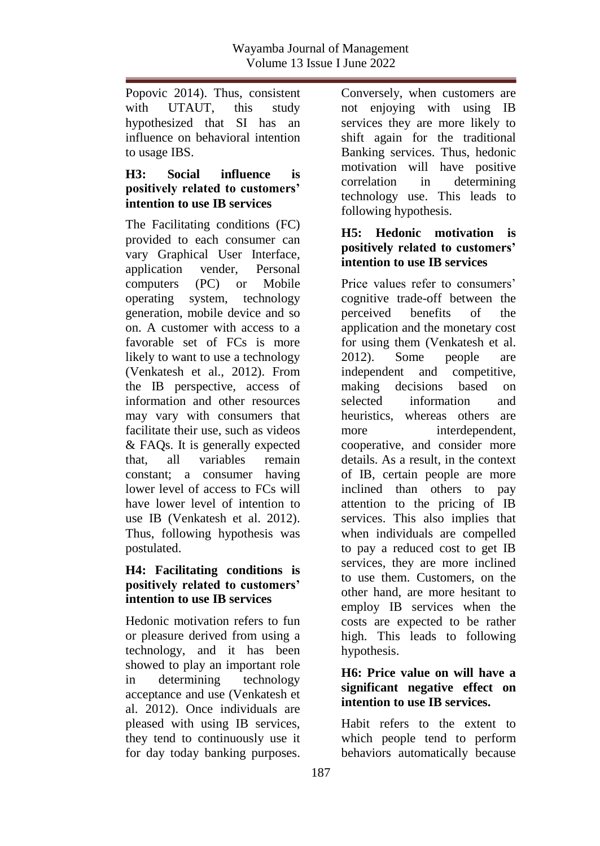Popovic 2014). Thus, consistent with UTAUT, this study hypothesized that SI has an influence on behavioral intention to usage IBS.

### **H3: Social influence is positively related to customers' intention to use IB services**

The Facilitating conditions (FC) provided to each consumer can vary Graphical User Interface, application vender, Personal computers (PC) or Mobile operating system, technology generation, mobile device and so on. A customer with access to a favorable set of FCs is more likely to want to use a technology (Venkatesh et al., 2012). From the IB perspective, access of information and other resources may vary with consumers that facilitate their use, such as videos & FAQs. It is generally expected that, all variables remain constant; a consumer having lower level of access to FCs will have lower level of intention to use IB (Venkatesh et al. 2012). Thus, following hypothesis was postulated.

#### **H4: Facilitating conditions is positively related to customers' intention to use IB services**

Hedonic motivation refers to fun or pleasure derived from using a technology, and it has been showed to play an important role in determining technology acceptance and use (Venkatesh et al. 2012). Once individuals are pleased with using IB services, they tend to continuously use it for day today banking purposes.

Conversely, when customers are not enjoying with using IB services they are more likely to shift again for the traditional Banking services. Thus, hedonic motivation will have positive correlation in determining technology use. This leads to following hypothesis.

#### **H5: Hedonic motivation is positively related to customers' intention to use IB services**

Price values refer to consumers' cognitive trade-off between the perceived benefits of the application and the monetary cost for using them (Venkatesh et al. 2012). Some people are independent and competitive, making decisions based on selected information and heuristics, whereas others are more interdependent, cooperative, and consider more details. As a result, in the context of IB, certain people are more inclined than others to pay attention to the pricing of IB services. This also implies that when individuals are compelled to pay a reduced cost to get IB services, they are more inclined to use them. Customers, on the other hand, are more hesitant to employ IB services when the costs are expected to be rather high. This leads to following hypothesis.

## **H6: Price value on will have a significant negative effect on intention to use IB services.**

Habit refers to the extent to which people tend to perform behaviors automatically because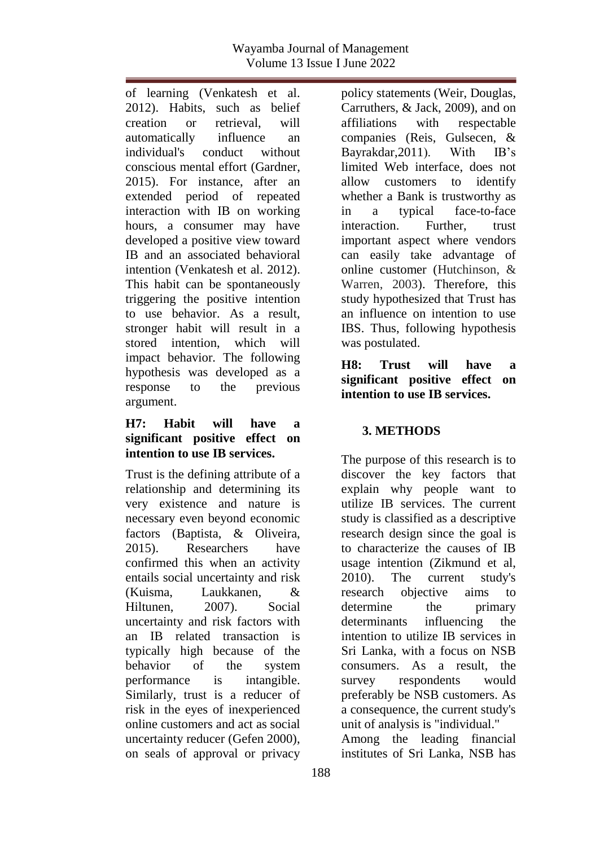of learning (Venkatesh et al. 2012). Habits, such as belief creation or retrieval, will automatically influence an individual's conduct without conscious mental effort (Gardner, 2015). For instance, after an extended period of repeated interaction with IB on working hours, a consumer may have developed a positive view toward IB and an associated behavioral intention (Venkatesh et al. 2012). This habit can be spontaneously triggering the positive intention to use behavior. As a result, stronger habit will result in a stored intention, which will impact behavior. The following hypothesis was developed as a response to the previous argument.

#### **H7: Habit will have a significant positive effect on intention to use IB services.**

Trust is the defining attribute of a relationship and determining its very existence and nature is necessary even beyond economic factors (Baptista, & Oliveira, 2015). Researchers have confirmed this when an activity entails social uncertainty and risk (Kuisma, Laukkanen, & Hiltunen, 2007). Social uncertainty and risk factors with an IB related transaction is typically high because of the behavior of the system performance is intangible. Similarly, trust is a reducer of risk in the eyes of inexperienced online customers and act as social uncertainty reducer (Gefen 2000), on seals of approval or privacy

policy statements (Weir, Douglas, Carruthers, & Jack, 2009), and on affiliations with respectable companies (Reis, Gulsecen, & Bayrakdar,2011). With IB's limited Web interface, does not allow customers to identify whether a Bank is trustworthy as in a typical face-to-face interaction. Further, trust important aspect where vendors can easily take advantage of online customer (Hutchinson, & Warren, 2003). Therefore, this study hypothesized that Trust has an influence on intention to use IBS. Thus, following hypothesis was postulated.

**H8: Trust will have a significant positive effect on intention to use IB services.**

# **3. METHODS**

The purpose of this research is to discover the key factors that explain why people want to utilize IB services. The current study is classified as a descriptive research design since the goal is to characterize the causes of IB usage intention (Zikmund et al, 2010). The current study's research objective aims to determine the primary determinants influencing the intention to utilize IB services in Sri Lanka, with a focus on NSB consumers. As a result, the survey respondents would preferably be NSB customers. As a consequence, the current study's unit of analysis is "individual." Among the leading financial institutes of Sri Lanka, NSB has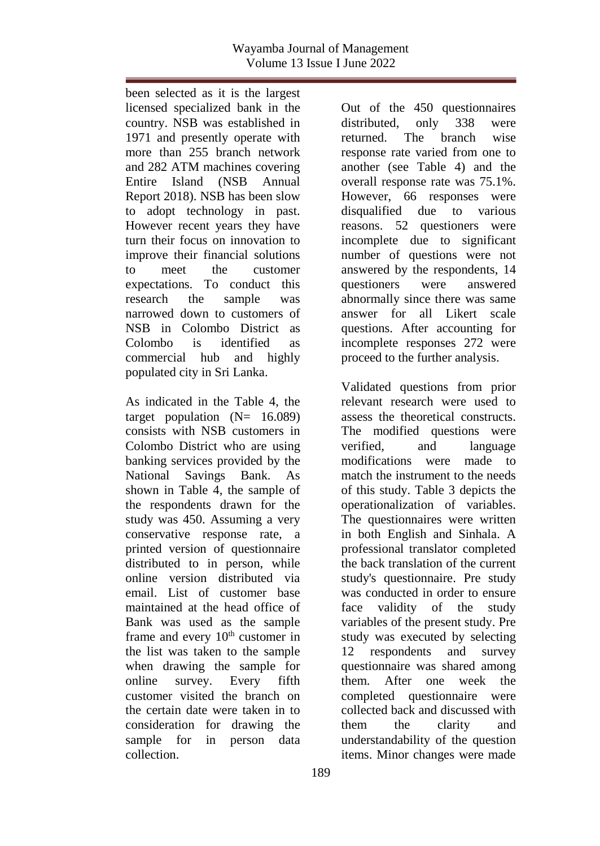been selected as it is the largest licensed specialized bank in the country. NSB was established in 1971 and presently operate with more than 255 branch network and 282 ATM machines covering Entire Island (NSB Annual Report 2018). NSB has been slow to adopt technology in past. However recent years they have turn their focus on innovation to improve their financial solutions to meet the customer expectations. To conduct this research the sample was narrowed down to customers of NSB in Colombo District as Colombo is identified as commercial hub and highly populated city in Sri Lanka.

As indicated in the Table 4, the target population  $(N= 16.089)$ consists with NSB customers in Colombo District who are using banking services provided by the National Savings Bank. As shown in Table 4, the sample of the respondents drawn for the study was 450. Assuming a very conservative response rate, a printed version of questionnaire distributed to in person, while online version distributed via email. List of customer base maintained at the head office of Bank was used as the sample frame and every  $10<sup>th</sup>$  customer in the list was taken to the sample when drawing the sample for online survey. Every fifth customer visited the branch on the certain date were taken in to consideration for drawing the sample for in person data collection.

Out of the 450 questionnaires distributed, only 338 were returned. The branch wise response rate varied from one to another (see Table 4) and the overall response rate was 75.1%. However, 66 responses were disqualified due to various reasons. 52 questioners were incomplete due to significant number of questions were not answered by the respondents, 14 questioners were answered abnormally since there was same answer for all Likert scale questions. After accounting for incomplete responses 272 were proceed to the further analysis.

Validated questions from prior relevant research were used to assess the theoretical constructs. The modified questions were verified, and language modifications were made to match the instrument to the needs of this study. Table 3 depicts the operationalization of variables. The questionnaires were written in both English and Sinhala. A professional translator completed the back translation of the current study's questionnaire. Pre study was conducted in order to ensure face validity of the study variables of the present study. Pre study was executed by selecting 12 respondents and survey questionnaire was shared among them. After one week the completed questionnaire were collected back and discussed with them the clarity and understandability of the question items. Minor changes were made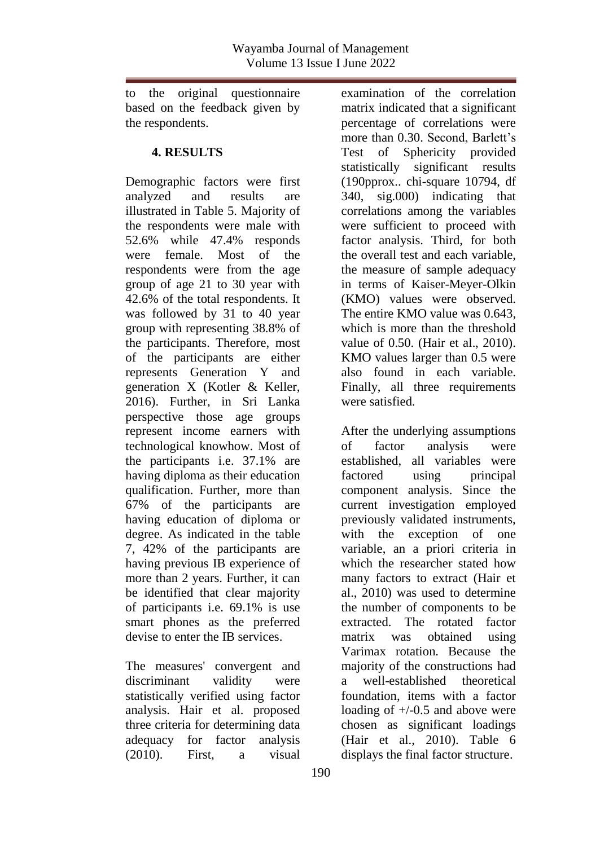to the original questionnaire based on the feedback given by the respondents.

#### **4. RESULTS**

Demographic factors were first analyzed and results are illustrated in Table 5. Majority of the respondents were male with 52.6% while 47.4% responds were female. Most of the respondents were from the age group of age 21 to 30 year with 42.6% of the total respondents. It was followed by 31 to 40 year group with representing 38.8% of the participants. Therefore, most of the participants are either represents Generation Y and generation X (Kotler & Keller, 2016). Further, in Sri Lanka perspective those age groups represent income earners with technological knowhow. Most of the participants i.e. 37.1% are having diploma as their education qualification. Further, more than 67% of the participants are having education of diploma or degree. As indicated in the table 7, 42% of the participants are having previous IB experience of more than 2 years. Further, it can be identified that clear majority of participants i.e. 69.1% is use smart phones as the preferred devise to enter the IB services.

The measures' convergent and discriminant validity were statistically verified using factor analysis. Hair et al. proposed three criteria for determining data adequacy for factor analysis (2010). First, a visual

examination of the correlation matrix indicated that a significant percentage of correlations were more than 0.30. Second, Barlett's Test of Sphericity provided statistically significant results (190pprox.. chi-square 10794, df 340, sig.000) indicating that correlations among the variables were sufficient to proceed with factor analysis. Third, for both the overall test and each variable, the measure of sample adequacy in terms of Kaiser-Meyer-Olkin (KMO) values were observed. The entire KMO value was 0.643, which is more than the threshold value of 0.50. (Hair et al., 2010). KMO values larger than 0.5 were also found in each variable. Finally, all three requirements were satisfied.

After the underlying assumptions of factor analysis were established, all variables were factored using principal component analysis. Since the current investigation employed previously validated instruments, with the exception of one variable, an a priori criteria in which the researcher stated how many factors to extract (Hair et al., 2010) was used to determine the number of components to be extracted. The rotated factor matrix was obtained using Varimax rotation. Because the majority of the constructions had a well-established theoretical foundation, items with a factor loading of +/-0.5 and above were chosen as significant loadings (Hair et al., 2010). Table 6 displays the final factor structure.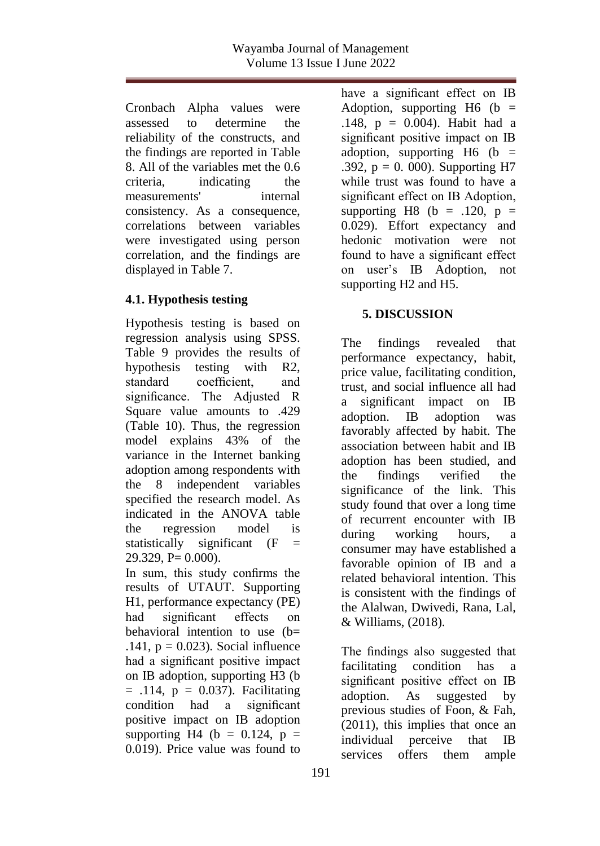Cronbach Alpha values were assessed to determine the reliability of the constructs, and the findings are reported in Table 8. All of the variables met the 0.6 criteria, indicating the measurements' internal consistency. As a consequence, correlations between variables were investigated using person correlation, and the findings are displayed in Table 7.

## **4.1. Hypothesis testing**

Hypothesis testing is based on regression analysis using SPSS. Table 9 provides the results of hypothesis testing with R2, standard coefficient, and significance. The Adjusted R Square value amounts to .429 (Table 10). Thus, the regression model explains 43% of the variance in the Internet banking adoption among respondents with the 8 independent variables specified the research model. As indicated in the ANOVA table the regression model is statistically significant  $(F =$  $29.329$ , P=  $0.000$ ).

In sum, this study confirms the results of UTAUT. Supporting H1, performance expectancy (PE) had significant effects on behavioral intention to use  $(b=$ .141,  $p = 0.023$ ). Social influence had a significant positive impact on IB adoption, supporting H3 (b  $=$  .114,  $p = 0.037$ ). Facilitating condition had a significant positive impact on IB adoption supporting H4 (b =  $0.124$ , p = 0.019). Price value was found to

have a significant effect on IB Adoption, supporting  $H6$  (b = .148, p = 0.004). Habit had a significant positive impact on IB adoption, supporting H6 ( $b =$ .392,  $p = 0$ . 000). Supporting H7 while trust was found to have a significant effect on IB Adoption, supporting H8 (b = .120, p = 0.029). Effort expectancy and hedonic motivation were not found to have a significant effect on user's IB Adoption, not supporting H2 and H5.

## **5. DISCUSSION**

The findings revealed that performance expectancy, habit, price value, facilitating condition, trust, and social influence all had a significant impact on IB adoption. IB adoption was favorably affected by habit. The association between habit and IB adoption has been studied, and the findings verified the significance of the link. This study found that over a long time of recurrent encounter with IB during working hours, a consumer may have established a favorable opinion of IB and a related behavioral intention. This is consistent with the findings of the Alalwan, Dwivedi, Rana, Lal, & Williams, (2018).

The findings also suggested that facilitating condition has a significant positive effect on IB adoption. As suggested by previous studies of Foon, & Fah, (2011), this implies that once an individual perceive that IB services offers them ample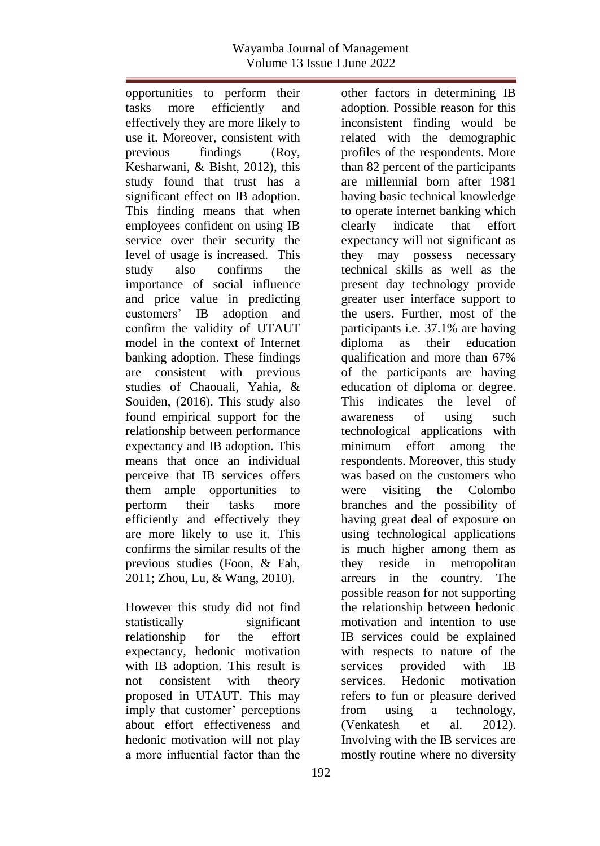other factors in determining IB adoption. Possible reason for this inconsistent finding would be related with the demographic profiles of the respondents. More than 82 percent of the participants are millennial born after 1981 having basic technical knowledge to operate internet banking which clearly indicate that effort expectancy will not significant as they may possess necessary technical skills as well as the present day technology provide greater user interface support to the users. Further, most of the participants i.e. 37.1% are having diploma as their education qualification and more than 67% of the participants are having education of diploma or degree. This indicates the level of awareness of using such technological applications with minimum effort among the respondents. Moreover, this study

opportunities to perform their tasks more efficiently and effectively they are more likely to use it. Moreover, consistent with previous findings (Roy, Kesharwani, & Bisht, 2012), this study found that trust has a significant effect on IB adoption. This finding means that when employees confident on using IB service over their security the level of usage is increased. This study also confirms the importance of social influence and price value in predicting customers' IB adoption and confirm the validity of UTAUT model in the context of Internet banking adoption. These findings are consistent with previous studies of Chaouali, Yahia, & Souiden, (2016). This study also found empirical support for the relationship between performance expectancy and IB adoption. This means that once an individual perceive that IB services offers them ample opportunities to perform their tasks more efficiently and effectively they are more likely to use it. This confirms the similar results of the previous studies (Foon, & Fah, 2011; Zhou, Lu, & Wang, 2010).

However this study did not find statistically significant relationship for the effort expectancy, hedonic motivation with IB adoption. This result is not consistent with theory proposed in UTAUT. This may imply that customer' perceptions about effort effectiveness and hedonic motivation will not play a more influential factor than the

was based on the customers who were visiting the Colombo branches and the possibility of having great deal of exposure on using technological applications is much higher among them as they reside in metropolitan arrears in the country. The possible reason for not supporting the relationship between hedonic motivation and intention to use IB services could be explained with respects to nature of the services provided with IB services. Hedonic motivation refers to fun or pleasure derived from using a technology, (Venkatesh et al. 2012). Involving with the IB services are mostly routine where no diversity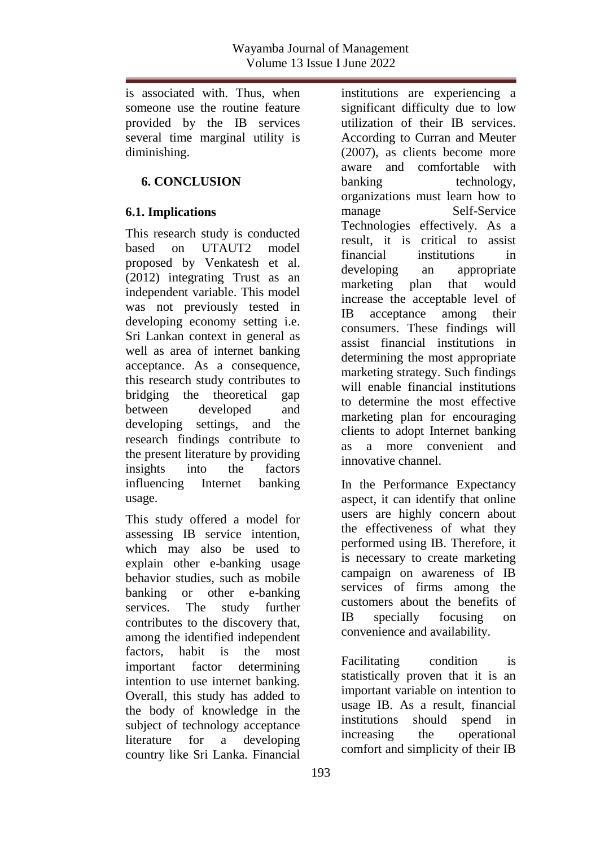is associated with. Thus, when someone use the routine feature provided by the IB services several time marginal utility is diminishing.

### **6. CONCLUSION**

## **6.1. Implications**

This research study is conducted based on UTAUT2 model proposed by Venkatesh et al. (2012) integrating Trust as an independent variable. This model was not previously tested in developing economy setting i.e. Sri Lankan context in general as well as area of internet banking acceptance. As a consequence, this research study contributes to bridging the theoretical gap between developed and developing settings, and the research findings contribute to the present literature by providing insights into the factors influencing Internet banking usage.

This study offered a model for assessing IB service intention, which may also be used to explain other e-banking usage behavior studies, such as mobile banking or other e-banking services. The study further contributes to the discovery that, among the identified independent factors, habit is the most important factor determining intention to use internet banking. Overall, this study has added to the body of knowledge in the subject of technology acceptance literature for a developing country like Sri Lanka. Financial

institutions are experiencing a significant difficulty due to low utilization of their IB services. According to Curran and Meuter (2007), as clients become more aware and comfortable with banking technology, organizations must learn how to manage Self-Service Technologies effectively. As a result, it is critical to assist financial institutions in developing an appropriate marketing plan that would increase the acceptable level of IB acceptance among their consumers. These findings will assist financial institutions in determining the most appropriate marketing strategy. Such findings will enable financial institutions to determine the most effective marketing plan for encouraging clients to adopt Internet banking as a more convenient and innovative channel.

In the Performance Expectancy aspect, it can identify that online users are highly concern about the effectiveness of what they performed using IB. Therefore, it is necessary to create marketing campaign on awareness of IB services of firms among the customers about the benefits of IB specially focusing on convenience and availability.

Facilitating condition is statistically proven that it is an important variable on intention to usage IB. As a result, financial institutions should spend in increasing the operational comfort and simplicity of their IB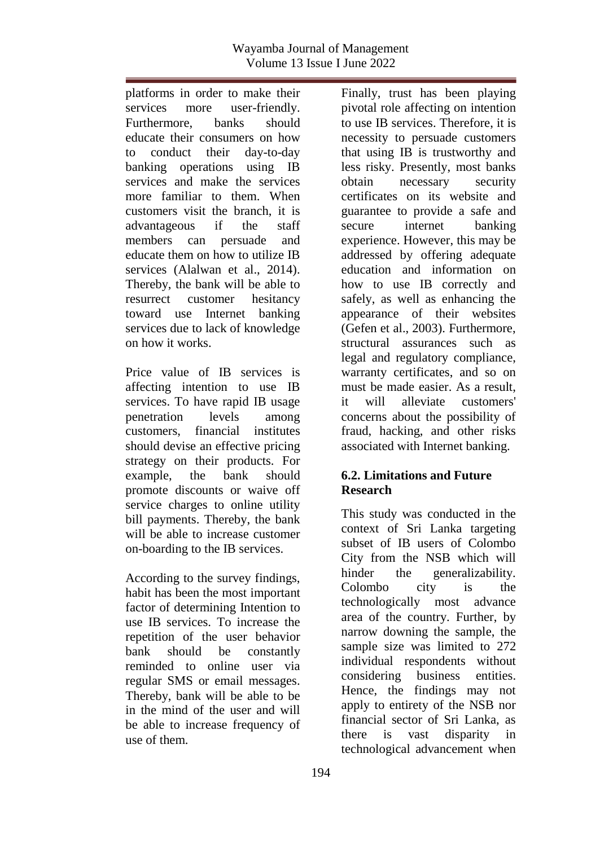platforms in order to make their services more user-friendly. Furthermore, banks should educate their consumers on how to conduct their day-to-day banking operations using IB services and make the services more familiar to them. When customers visit the branch, it is advantageous if the staff members can persuade and educate them on how to utilize IB services (Alalwan et al., 2014). Thereby, the bank will be able to resurrect customer hesitancy toward use Internet banking services due to lack of knowledge on how it works.

Price value of IB services is affecting intention to use IB services. To have rapid IB usage penetration levels among customers, financial institutes should devise an effective pricing strategy on their products. For example, the bank should promote discounts or waive off service charges to online utility bill payments. Thereby, the bank will be able to increase customer on-boarding to the IB services.

According to the survey findings, habit has been the most important factor of determining Intention to use IB services. To increase the repetition of the user behavior bank should be constantly reminded to online user via regular SMS or email messages. Thereby, bank will be able to be in the mind of the user and will be able to increase frequency of use of them.

Finally, trust has been playing pivotal role affecting on intention to use IB services. Therefore, it is necessity to persuade customers that using IB is trustworthy and less risky. Presently, most banks obtain necessary security certificates on its website and guarantee to provide a safe and secure internet banking experience. However, this may be addressed by offering adequate education and information on how to use IB correctly and safely, as well as enhancing the appearance of their websites (Gefen et al., 2003). Furthermore, structural assurances such as legal and regulatory compliance, warranty certificates, and so on must be made easier. As a result, it will alleviate customers' concerns about the possibility of fraud, hacking, and other risks associated with Internet banking.

## **6.2. Limitations and Future Research**

This study was conducted in the context of Sri Lanka targeting subset of IB users of Colombo City from the NSB which will hinder the generalizability. Colombo city is the technologically most advance area of the country. Further, by narrow downing the sample, the sample size was limited to 272 individual respondents without considering business entities. Hence, the findings may not apply to entirety of the NSB nor financial sector of Sri Lanka, as there is vast disparity in technological advancement when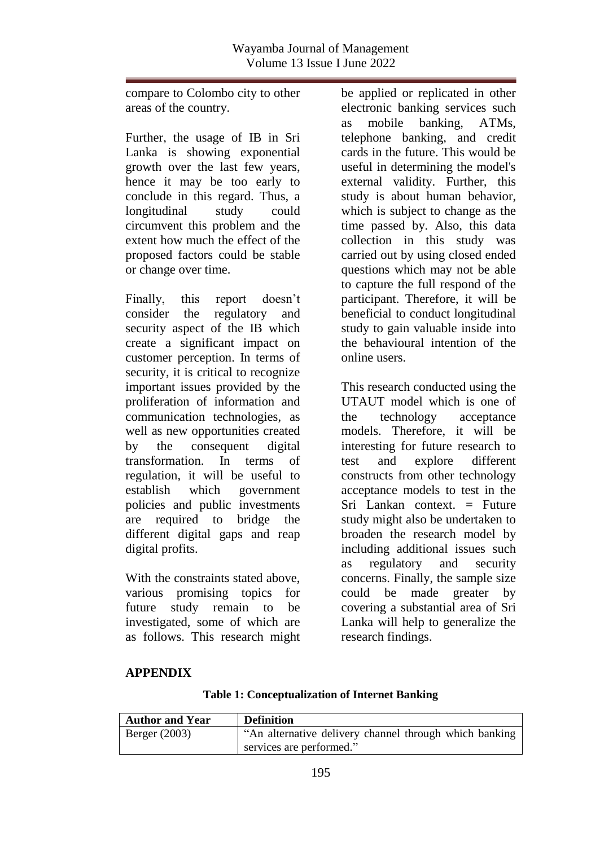compare to Colombo city to other areas of the country.

Further, the usage of IB in Sri Lanka is showing exponential growth over the last few years, hence it may be too early to conclude in this regard. Thus, a longitudinal study could circumvent this problem and the extent how much the effect of the proposed factors could be stable or change over time.

Finally, this report doesn't consider the regulatory and security aspect of the IB which create a significant impact on customer perception. In terms of security, it is critical to recognize important issues provided by the proliferation of information and communication technologies, as well as new opportunities created by the consequent digital transformation. In terms of regulation, it will be useful to establish which government policies and public investments are required to bridge the different digital gaps and reap digital profits.

With the constraints stated above, various promising topics for future study remain to be investigated, some of which are as follows. This research might

be applied or replicated in other electronic banking services such as mobile banking, ATMs, telephone banking, and credit cards in the future. This would be useful in determining the model's external validity. Further, this study is about human behavior, which is subject to change as the time passed by. Also, this data collection in this study was carried out by using closed ended questions which may not be able to capture the full respond of the participant. Therefore, it will be beneficial to conduct longitudinal study to gain valuable inside into the behavioural intention of the online users.

This research conducted using the UTAUT model which is one of the technology acceptance models. Therefore, it will be interesting for future research to test and explore different constructs from other technology acceptance models to test in the Sri Lankan context. = Future study might also be undertaken to broaden the research model by including additional issues such as regulatory and security concerns. Finally, the sample size could be made greater by covering a substantial area of Sri Lanka will help to generalize the research findings.

#### **APPENDIX**

|  | <b>Table 1: Conceptualization of Internet Banking</b> |  |  |
|--|-------------------------------------------------------|--|--|
|--|-------------------------------------------------------|--|--|

| <b>Author and Year</b> | <b>Definition</b>                                      |
|------------------------|--------------------------------------------------------|
| Berger $(2003)$        | "An alternative delivery channel through which banking |
|                        | services are performed."                               |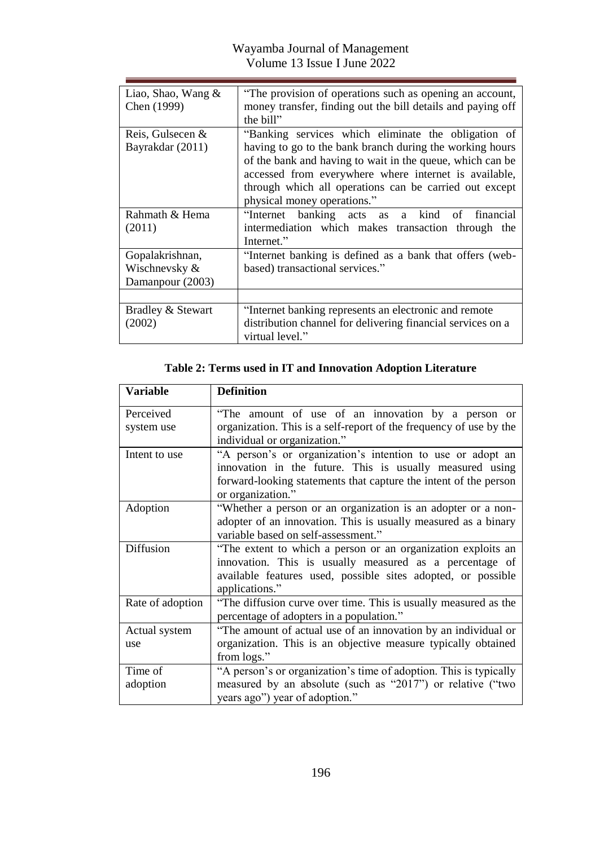| Liao, Shao, Wang $\&$<br>Chen (1999)                 | "The provision of operations such as opening an account,<br>money transfer, finding out the bill details and paying off<br>the bill"                                                                                                                                                                                           |
|------------------------------------------------------|--------------------------------------------------------------------------------------------------------------------------------------------------------------------------------------------------------------------------------------------------------------------------------------------------------------------------------|
| Reis, Gulsecen &<br>Bayrakdar (2011)                 | "Banking services which eliminate the obligation of<br>having to go to the bank branch during the working hours<br>of the bank and having to wait in the queue, which can be<br>accessed from everywhere where internet is available,<br>through which all operations can be carried out except<br>physical money operations." |
| Rahmath & Hema<br>(2011)                             | "Internet banking acts as a kind<br>of financial<br>intermediation which makes transaction through the<br>Internet."                                                                                                                                                                                                           |
| Gopalakrishnan,<br>Wischnevsky &<br>Damanpour (2003) | "Internet banking is defined as a bank that offers (web-<br>based) transactional services."                                                                                                                                                                                                                                    |
|                                                      |                                                                                                                                                                                                                                                                                                                                |
| Bradley & Stewart<br>(2002)                          | "Internet banking represents an electronic and remote<br>distribution channel for delivering financial services on a<br>virtual level."                                                                                                                                                                                        |

# **Table 2: Terms used in IT and Innovation Adoption Literature**

| <b>Variable</b>     | <b>Definition</b>                                                                                                                                                                                               |
|---------------------|-----------------------------------------------------------------------------------------------------------------------------------------------------------------------------------------------------------------|
| Perceived           | "The amount of use of an innovation by a person or                                                                                                                                                              |
| system use          | organization. This is a self-report of the frequency of use by the<br>individual or organization."                                                                                                              |
| Intent to use       | "A person's or organization's intention to use or adopt an<br>innovation in the future. This is usually measured using<br>forward-looking statements that capture the intent of the person<br>or organization." |
| Adoption            | "Whether a person or an organization is an adopter or a non-<br>adopter of an innovation. This is usually measured as a binary<br>variable based on self-assessment."                                           |
| <b>Diffusion</b>    | "The extent to which a person or an organization exploits an<br>innovation. This is usually measured as a percentage of<br>available features used, possible sites adopted, or possible<br>applications."       |
| Rate of adoption    | "The diffusion curve over time. This is usually measured as the<br>percentage of adopters in a population."                                                                                                     |
| Actual system       | "The amount of actual use of an innovation by an individual or                                                                                                                                                  |
| use                 | organization. This is an objective measure typically obtained<br>from logs."                                                                                                                                    |
| Time of<br>adoption | "A person's or organization's time of adoption. This is typically<br>measured by an absolute (such as "2017") or relative ("two<br>years ago") year of adoption."                                               |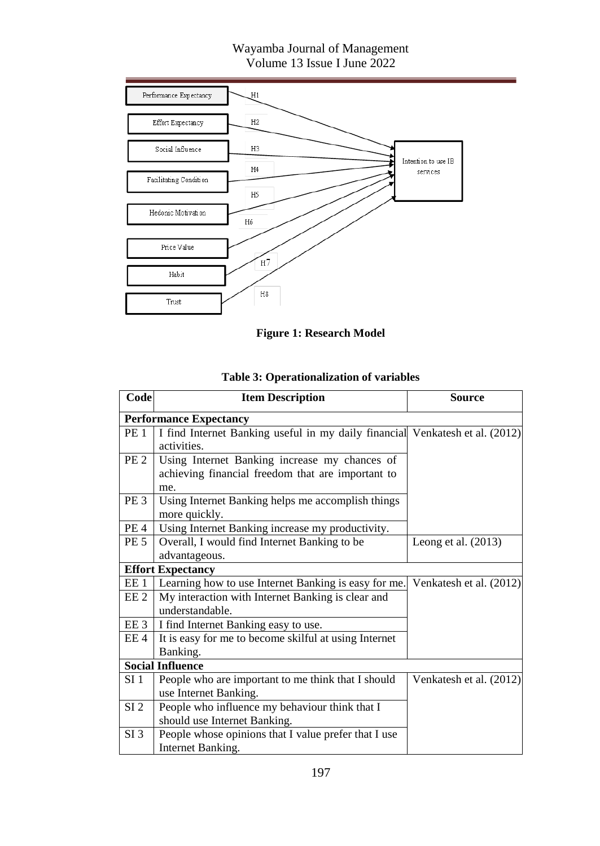

**Figure 1: Research Model**

| Code            | <b>Item Description</b>                                                      | Source                  |
|-----------------|------------------------------------------------------------------------------|-------------------------|
|                 | <b>Performance Expectancy</b>                                                |                         |
| PE <sub>1</sub> | I find Internet Banking useful in my daily financial Venkatesh et al. (2012) |                         |
|                 | activities.                                                                  |                         |
| PE <sub>2</sub> | Using Internet Banking increase my chances of                                |                         |
|                 | achieving financial freedom that are important to                            |                         |
|                 | me.                                                                          |                         |
| PE <sub>3</sub> | Using Internet Banking helps me accomplish things                            |                         |
|                 | more quickly.                                                                |                         |
| PE <sub>4</sub> | Using Internet Banking increase my productivity.                             |                         |
| PE <sub>5</sub> | Overall, I would find Internet Banking to be                                 | Leong et al. $(2013)$   |
|                 | advantageous.                                                                |                         |
|                 | <b>Effort Expectancy</b>                                                     |                         |
| EE 1            | Learning how to use Internet Banking is easy for me.                         | Venkatesh et al. (2012) |
| EE <sub>2</sub> | My interaction with Internet Banking is clear and                            |                         |
|                 | understandable.                                                              |                         |
| EE 3            | I find Internet Banking easy to use.                                         |                         |
| EE 4            | It is easy for me to become skilful at using Internet                        |                         |
|                 | Banking.                                                                     |                         |
|                 | <b>Social Influence</b>                                                      |                         |
| SI <sub>1</sub> | People who are important to me think that I should                           | Venkatesh et al. (2012) |
|                 | use Internet Banking.                                                        |                         |
| SI <sub>2</sub> | People who influence my behaviour think that I                               |                         |
|                 | should use Internet Banking.                                                 |                         |
| $SI$ 3          | People whose opinions that I value prefer that I use                         |                         |
|                 | Internet Banking.                                                            |                         |

# **Table 3: Operationalization of variables**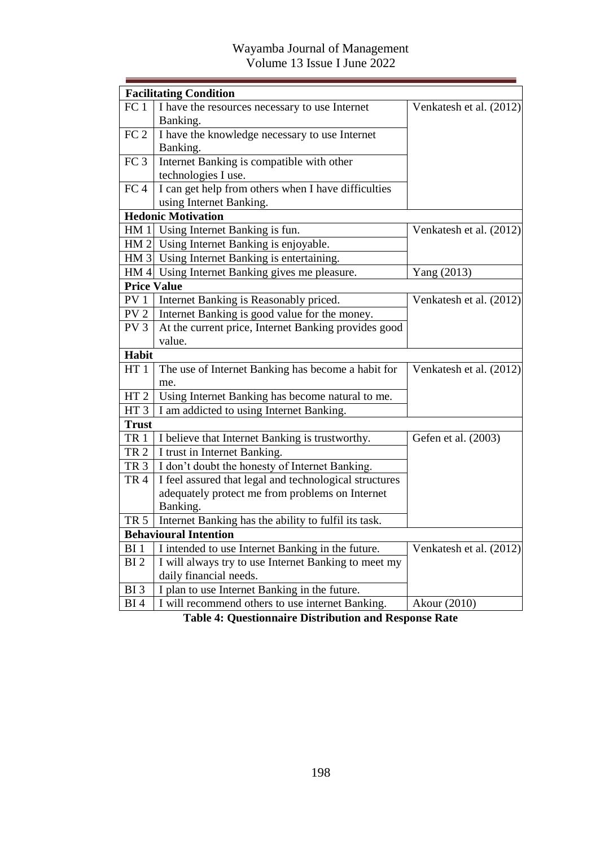|                    | <b>Facilitating Condition</b>                          |                         |
|--------------------|--------------------------------------------------------|-------------------------|
| FC <sub>1</sub>    | I have the resources necessary to use Internet         | Venkatesh et al. (2012) |
|                    | Banking.                                               |                         |
| FC <sub>2</sub>    | I have the knowledge necessary to use Internet         |                         |
|                    | Banking.                                               |                         |
| FC <sub>3</sub>    | Internet Banking is compatible with other              |                         |
|                    | technologies I use.                                    |                         |
| FC <sub>4</sub>    | I can get help from others when I have difficulties    |                         |
|                    | using Internet Banking.                                |                         |
|                    | <b>Hedonic Motivation</b>                              |                         |
|                    | HM 1 Using Internet Banking is fun.                    | Venkatesh et al. (2012) |
|                    | HM 2 Using Internet Banking is enjoyable.              |                         |
|                    | HM 3 Using Internet Banking is entertaining.           |                         |
|                    | HM 4 Using Internet Banking gives me pleasure.         | Yang (2013)             |
| <b>Price Value</b> |                                                        |                         |
| PV <sub>1</sub>    | Internet Banking is Reasonably priced.                 | Venkatesh et al. (2012) |
| PV <sub>2</sub>    | Internet Banking is good value for the money.          |                         |
| PV <sub>3</sub>    | At the current price, Internet Banking provides good   |                         |
|                    | value.                                                 |                         |
| <b>Habit</b>       |                                                        |                         |
| HT1                | The use of Internet Banking has become a habit for     | Venkatesh et al. (2012) |
|                    | me.                                                    |                         |
| HT <sub>2</sub>    | Using Internet Banking has become natural to me.       |                         |
| HT <sub>3</sub>    | I am addicted to using Internet Banking.               |                         |
| <b>Trust</b>       |                                                        |                         |
| <b>TR1</b>         | I believe that Internet Banking is trustworthy.        | Gefen et al. (2003)     |
| TR <sub>2</sub>    | I trust in Internet Banking.                           |                         |
| TR <sub>3</sub>    | I don't doubt the honesty of Internet Banking.         |                         |
| TR <sub>4</sub>    | I feel assured that legal and technological structures |                         |
|                    | adequately protect me from problems on Internet        |                         |
|                    | Banking.                                               |                         |
| <b>TR 5</b>        | Internet Banking has the ability to fulfil its task.   |                         |
|                    | <b>Behavioural Intention</b>                           |                         |
| BI <sub>1</sub>    | I intended to use Internet Banking in the future.      | Venkatesh et al. (2012) |
| BI <sub>2</sub>    | I will always try to use Internet Banking to meet my   |                         |
|                    | daily financial needs.                                 |                         |
| BI <sub>3</sub>    | I plan to use Internet Banking in the future.          |                         |
| BI4                | I will recommend others to use internet Banking.       | Akour (2010)            |

**Table 4: Questionnaire Distribution and Response Rate**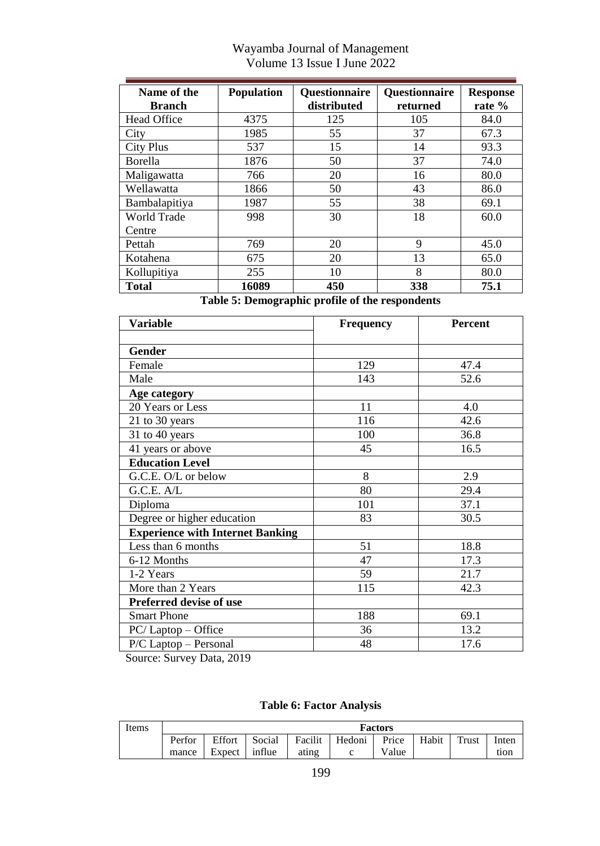| Name of the      | <b>Population</b> | <b>Questionnaire</b> | <b>Questionnaire</b> | <b>Response</b> |
|------------------|-------------------|----------------------|----------------------|-----------------|
| <b>Branch</b>    |                   | distributed          | returned             | rate %          |
| Head Office      | 4375              | 125                  | 105                  | 84.0            |
| City             | 1985              | 55                   | 37                   | 67.3            |
| <b>City Plus</b> | 537               | 15                   | 14                   | 93.3            |
| <b>Borella</b>   | 1876              | 50                   | 37                   | 74.0            |
| Maligawatta      | 766               | 20                   | 16                   | 80.0            |
| Wellawatta       | 1866              | 50                   | 43                   | 86.0            |
| Bambalapitiya    | 1987              | 55                   | 38                   | 69.1            |
| World Trade      | 998               | 30                   | 18                   | 60.0            |
| Centre           |                   |                      |                      |                 |
| Pettah           | 769               | 20                   | 9                    | 45.0            |
| Kotahena         | 675               | 20                   | 13                   | 65.0            |
| Kollupitiya      | 255               | 10                   | 8                    | 80.0            |
| Total            | 16089             | 450                  | 338                  | 75.1            |

**Table 5: Demographic profile of the respondents**

| Variable                                | <b>Frequency</b> | <b>Percent</b> |  |  |
|-----------------------------------------|------------------|----------------|--|--|
|                                         |                  |                |  |  |
| Gender                                  |                  |                |  |  |
| Female                                  | 129              | 47.4           |  |  |
| Male                                    | 143              | 52.6           |  |  |
| Age category                            |                  |                |  |  |
| 20 Years or Less                        | 11               | 4.0            |  |  |
| 21 to 30 years                          | 116              | 42.6           |  |  |
| 31 to 40 years                          | 100              | 36.8           |  |  |
| 41 years or above                       | 45               | 16.5           |  |  |
| <b>Education Level</b>                  |                  |                |  |  |
| G.C.E. O/L or below                     | 8                | 2.9            |  |  |
| G.C.E. A/L                              | 80               | 29.4           |  |  |
| Diploma                                 | 101              | 37.1           |  |  |
| Degree or higher education              | 83               | 30.5           |  |  |
| <b>Experience with Internet Banking</b> |                  |                |  |  |
| Less than 6 months                      | 51               | 18.8           |  |  |
| 6-12 Months                             | 47               | 17.3           |  |  |
| 1-2 Years                               | 59               | 21.7           |  |  |
| More than 2 Years                       | 115              | 42.3           |  |  |
| Preferred devise of use                 |                  |                |  |  |
| <b>Smart Phone</b>                      | 188              | 69.1           |  |  |
| $PC/$ Laptop $-$ Office                 | 36               | 13.2           |  |  |
| P/C Laptop - Personal                   | 48               | 17.6           |  |  |

Source: Survey Data, 2019

**Table 6: Factor Analysis**

| Items | Factors |        |        |         |        |       |       |       |       |
|-------|---------|--------|--------|---------|--------|-------|-------|-------|-------|
|       | Perfor  | Effort | Social | Facilit | Hedoni | Price | Habit | Trust | Inten |
|       | mance   | Expect | influe | atıng   |        | Value |       |       | tion  |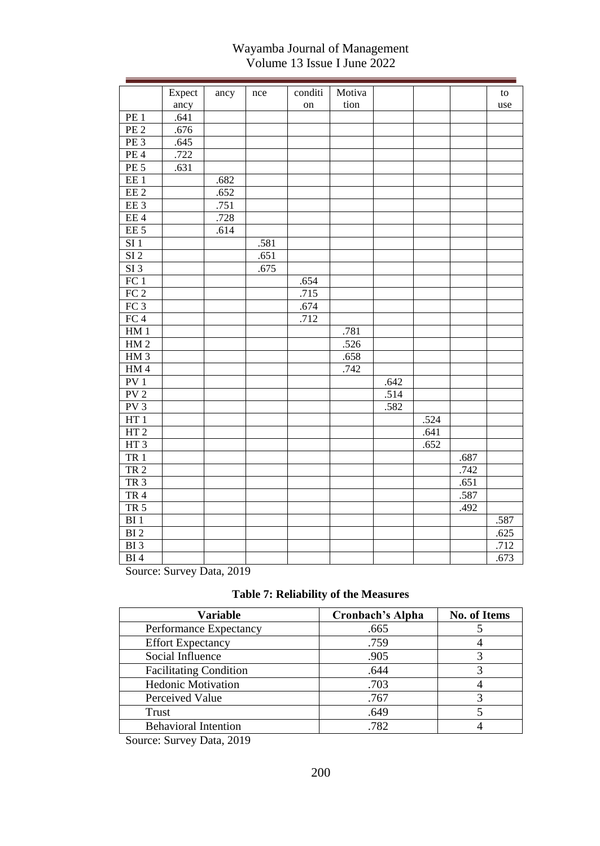|                           | Expect                 | ancy  | nce  | conditi | Motiva |      |      |      | to   |
|---------------------------|------------------------|-------|------|---------|--------|------|------|------|------|
|                           | ancy                   |       |      | on      | tion   |      |      |      | use  |
| PE <sub>1</sub>           | .641                   |       |      |         |        |      |      |      |      |
| PE2                       | .676                   |       |      |         |        |      |      |      |      |
| PE <sub>3</sub>           | .645                   |       |      |         |        |      |      |      |      |
| PE4                       | .722                   |       |      |         |        |      |      |      |      |
| PE <sub>5</sub>           | .631                   |       |      |         |        |      |      |      |      |
| EE1                       |                        | .682  |      |         |        |      |      |      |      |
| EE2                       |                        | .652  |      |         |        |      |      |      |      |
| EE <sub>3</sub>           |                        | .751  |      |         |        |      |      |      |      |
| EE <sub>4</sub>           |                        | .728  |      |         |        |      |      |      |      |
| EE <sub>5</sub>           |                        | .614  |      |         |        |      |      |      |      |
| SI <sub>1</sub>           |                        |       | .581 |         |        |      |      |      |      |
| SI <sub>2</sub>           |                        |       | .651 |         |        |      |      |      |      |
| $SI$ 3                    |                        |       | .675 |         |        |      |      |      |      |
| FC1                       |                        |       |      | .654    |        |      |      |      |      |
| FC <sub>2</sub>           |                        |       |      | .715    |        |      |      |      |      |
| FC <sub>3</sub>           |                        |       |      | .674    |        |      |      |      |      |
| FC 4                      |                        |       |      | .712    |        |      |      |      |      |
| HM1                       |                        |       |      |         | .781   |      |      |      |      |
| HM <sub>2</sub>           |                        |       |      |         | .526   |      |      |      |      |
| HM3                       |                        |       |      |         | .658   |      |      |      |      |
| HM <sub>4</sub>           |                        |       |      |         | .742   |      |      |      |      |
| PV <sub>1</sub>           |                        |       |      |         |        | .642 |      |      |      |
| PV <sub>2</sub>           |                        |       |      |         |        | .514 |      |      |      |
| PV <sub>3</sub>           |                        |       |      |         |        | .582 |      |      |      |
| HT1                       |                        |       |      |         |        |      | .524 |      |      |
| HT <sub>2</sub>           |                        |       |      |         |        |      | .641 |      |      |
| HT3                       |                        |       |      |         |        |      | .652 |      |      |
| <b>TR1</b>                |                        |       |      |         |        |      |      | .687 |      |
| TR <sub>2</sub>           |                        |       |      |         |        |      |      | .742 |      |
| TR <sub>3</sub>           |                        |       |      |         |        |      |      | .651 |      |
| TR <sub>4</sub>           |                        |       |      |         |        |      |      | .587 |      |
| TR <sub>5</sub>           |                        |       |      |         |        |      |      | .492 |      |
| BI <sub>1</sub>           |                        |       |      |         |        |      |      |      | .587 |
| $\overline{BI}2$          |                        |       |      |         |        |      |      |      | .625 |
| BI <sub>3</sub>           |                        |       |      |         |        |      |      |      | .712 |
| BI <sub>4</sub><br>$\sim$ | $\sim$<br>$\mathbf{r}$ | 0.010 |      |         |        |      |      |      | .673 |

Source: Survey Data, 2019

| <b>Variable</b>               | Cronbach's Alpha | <b>No. of Items</b> |
|-------------------------------|------------------|---------------------|
| Performance Expectancy        | .665             |                     |
| <b>Effort Expectancy</b>      | .759             |                     |
| Social Influence              | .905             |                     |
| <b>Facilitating Condition</b> | .644             |                     |
| <b>Hedonic Motivation</b>     | .703             |                     |
| Perceived Value               | .767             |                     |
| Trust                         | .649             |                     |
| <b>Behavioral Intention</b>   | .782             |                     |

Source: Survey Data, 2019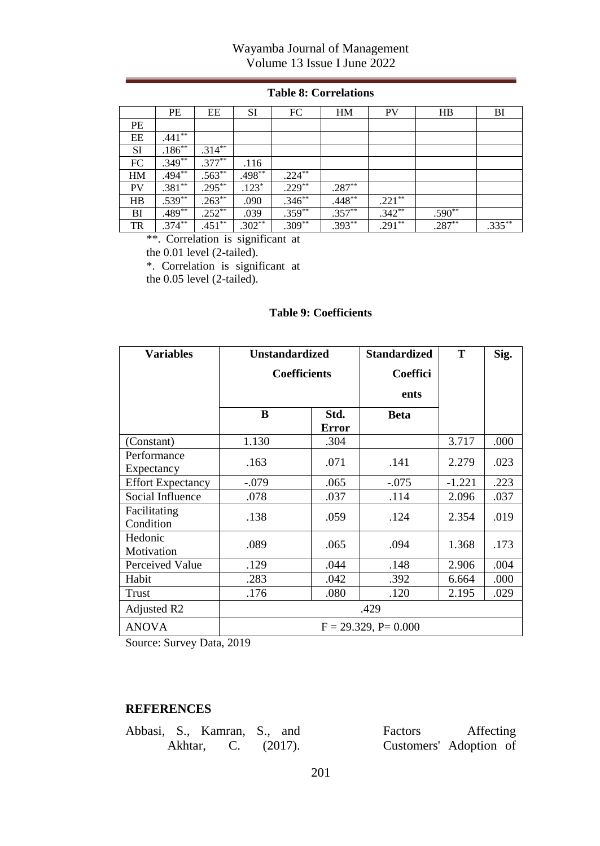#### **Table 8: Correlations**

|           | PE        | EE        | <b>SI</b> | FC        | HM       | <b>PV</b> | HB       | BI        |
|-----------|-----------|-----------|-----------|-----------|----------|-----------|----------|-----------|
| PE        |           |           |           |           |          |           |          |           |
| EE        | $.441**$  |           |           |           |          |           |          |           |
| SI        | $.186**$  | $.314***$ |           |           |          |           |          |           |
| FC        | $.349**$  | $.377**$  | .116      |           |          |           |          |           |
| HM        | $.494**$  | $.563**$  | $.498***$ | $.224***$ |          |           |          |           |
| <b>PV</b> | $.381**$  | $.295***$ | $.123*$   | $.229**$  | $.287**$ |           |          |           |
| HB        | $.539**$  | $.263**$  | .090      | $.346**$  | $.448**$ | $.221**$  |          |           |
| BI        | $.489**$  | $.252**$  | .039      | $.359**$  | $.357**$ | $.342**$  | $.590**$ |           |
| TR        | $.374***$ | $.451***$ | $.302**$  | $.309**$  | $.393**$ | $.291**$  | $.287**$ | $.335***$ |

\*\*. Correlation is significant at

the 0.01 level (2-tailed).

\*. Correlation is significant at

the 0.05 level (2-tailed).

#### **Table 9: Coefficients**

| <b>Variables</b>          | <b>Unstandardized</b> |                     | <b>Standardized</b>        | T        | Sig. |  |
|---------------------------|-----------------------|---------------------|----------------------------|----------|------|--|
|                           |                       | <b>Coefficients</b> | Coeffici                   |          |      |  |
|                           |                       |                     | ents                       |          |      |  |
|                           | B                     | Std.<br>Error       | <b>Beta</b>                |          |      |  |
| (Constant)                | 1.130                 | .304                |                            | 3.717    | .000 |  |
| Performance<br>Expectancy | .163                  | .071                | .141                       | 2.279    | .023 |  |
| <b>Effort Expectancy</b>  | $-.079$               | .065                | $-.075$                    | $-1.221$ | .223 |  |
| Social Influence          | .078                  | .037                | .114                       | 2.096    | .037 |  |
| Facilitating<br>Condition | .138                  | .059                | .124                       | 2.354    | .019 |  |
| Hedonic<br>Motivation     | .089                  | .065                | .094                       | 1.368    | .173 |  |
| Perceived Value           | .129                  | .044                | .148                       | 2.906    | .004 |  |
| Habit                     | .283                  | .042                | .392                       | 6.664    | .000 |  |
| Trust                     | .176                  | .080                | .120                       | 2.195    | .029 |  |
| Adjusted R2               | .429                  |                     |                            |          |      |  |
| <b>ANOVA</b>              |                       |                     | $F = 29.329$ , $P = 0.000$ |          |      |  |

Source: Survey Data, 2019

#### **REFERENCES**

|  | Abbasi, S., Kamran, S., and |  | <b>Factors</b>         | Affecting |  |
|--|-----------------------------|--|------------------------|-----------|--|
|  | Akhtar, C. (2017).          |  | Customers' Adoption of |           |  |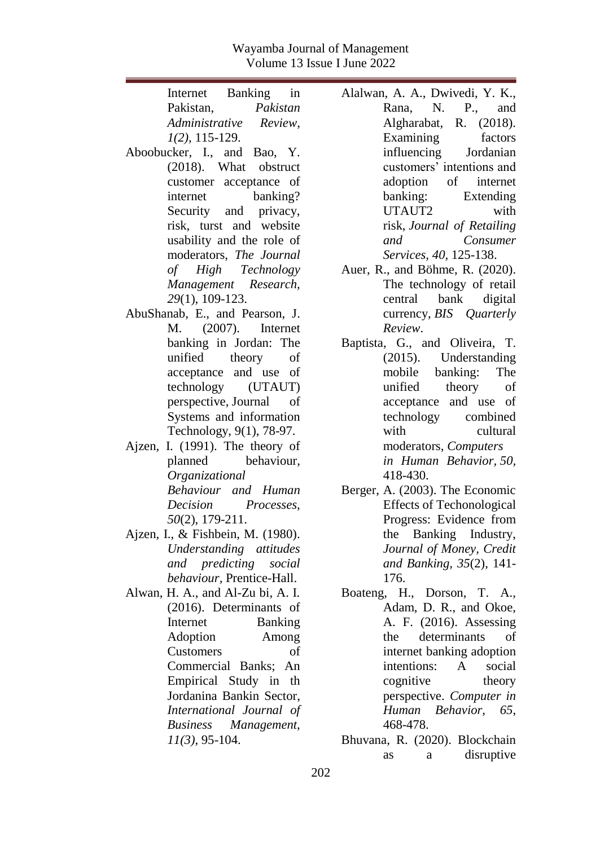| Internet Banking in                | Ala |
|------------------------------------|-----|
| Pakistan, Pakistan                 |     |
| Administrative Review,             |     |
| $1(2)$ , 115-129.                  |     |
| Aboobucker, I., and Bao, Y.        |     |
| (2018). What obstruct              |     |
| customer acceptance of             |     |
| banking?<br>internet               |     |
| Security and privacy,              |     |
| risk, turst and website            |     |
| usability and the role of          |     |
| moderators, The Journal            |     |
| of High Technology                 | Au  |
| Management Research,               |     |
| 29(1), 109-123.                    |     |
| AbuShanab, E., and Pearson, J.     |     |
| M. (2007). Internet                |     |
| banking in Jordan: The             | Bap |
| unified theory<br>οf               |     |
| acceptance and use of              |     |
| technology (UTAUT)                 |     |
| perspective, Journal of            |     |
| Systems and information            |     |
| Technology, 9(1), 78-97.           |     |
| I. (1991). The theory of<br>Ajzen, |     |
| planned behaviour,                 |     |
| Organizational                     |     |
| Behaviour and Human                | Ber |
| Decision Processes,                |     |
| $50(2)$ , 179-211.                 |     |
| Ajzen, I., & Fishbein, M. (1980).  |     |
| Understanding attitudes            |     |
| and predicting social              |     |
| behaviour, Prentice-Hall.          |     |
| Alwan, H. A., and Al-Zu bi, A. I.  | Bοε |
| (2016). Determinants of            |     |
| <b>Banking</b><br>Internet         |     |
| Adoption<br>Among                  |     |
| of<br>Customers                    |     |
| Commercial Banks;<br>An            |     |
| Empirical Study in th              |     |
| Jordanina Bankin Sector,           |     |
| International Journal of           |     |
| Business Management,               |     |
| $11(3)$ , 95-104.                  | Bhi |

Alalwan, A. A., Dwivedi, Y. K., Rana, N. P., and Algharabat, R. (2018). Examining factors influencing Jordanian customers' intentions and adoption of internet banking: Extending UTAUT2 with risk, *Journal of Retailing and Consumer Services, 40,* 125-138.

- er, R., and Böhme, R.  $(2020)$ . The technology of retail central bank digital currency, *BIS Quarterly Review*.
- Baptista, G., and Oliveira, T. (2015). Understanding mobile banking: The unified theory of acceptance and use of technology combined with cultural moderators, *Computers in Human Behavior, 50,* 418-430.
- ger, A. (2003). The Economic Effects of Techonological Progress: Evidence from the Banking Industry, *Journal of Money, Credit and Banking, 35*(2), 141- 176.
- ateng, H., Dorson, T. A., Adam, D. R., and Okoe, A. F. (2016). Assessing the determinants of internet banking adoption intentions: A social cognitive theory perspective. *Computer in Human Behavior, 65*, 468-478.
- uvana, R. (2020). Blockchain as a disruptive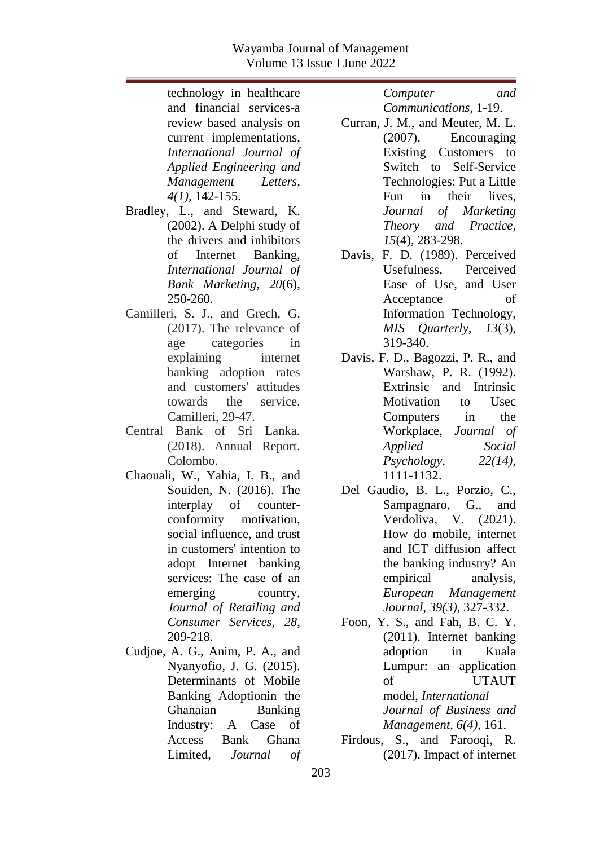technology in healthcare and financial services-a review based analysis on current implementations, *International Journal of Applied Engineering and Management Letters, 4(1),* 142-155.

- Bradley, L., and Steward, K. (2002). A Delphi study of the drivers and inhibitors of Internet Banking, *International Journal of Bank Marketing, 20*(6), 250-260.
- Camilleri, S. J., and Grech, G. (2017). The relevance of age categories in explaining internet banking adoption rates and customers' attitudes towards the service. Camilleri, 29-47.
- Central Bank of Sri Lanka. (2018). Annual Report. Colombo.
- Chaouali, W., Yahia, I. B., and Souiden, N. (2016). The interplay of counterconformity motivation, social influence, and trust in customers' intention to adopt Internet banking services: The case of an emerging country, *Journal of Retailing and Consumer Services, 28*, 209-218.
- Cudjoe, A. G., Anim, P. A., and Nyanyofio, J. G. (2015). Determinants of Mobile Banking Adoptionin the Ghanaian Banking Industry: A Case of Access Bank Ghana Limited, *Journal of*

*Computer and Communications*, 1-19.

- Curran, J. M., and Meuter, M. L. (2007). Encouraging Existing Customers to Switch to Self-Service Technologies: Put a Little Fun in their lives, *Journal of Marketing Theory and Practice, 15*(4), 283-298.
- Davis, F. D. (1989). Perceived Usefulness, Perceived Ease of Use, and User Acceptance of Information Technology, *MIS Quarterly, 13*(3), 319-340.
- Davis, F. D., Bagozzi, P. R., and Warshaw, P. R. (1992). Extrinsic and Intrinsic Motivation to Usec Computers in the Workplace, *Journal of Applied Social Psychology, 22(14),* 1111-1132.
- Del Gaudio, B. L., Porzio, C., Sampagnaro, G., and Verdoliva, V. (2021). How do mobile, internet and ICT diffusion affect the banking industry? An empirical analysis, *European Management Journal, 39(3)*, 327-332.

Foon, Y. S., and Fah, B. C. Y. (2011). Internet banking adoption in Kuala Lumpur: an application of UTAUT model, *International Journal of Business and Management, 6(4),* 161.

Firdous, S., and Farooqi, R. (2017). Impact of internet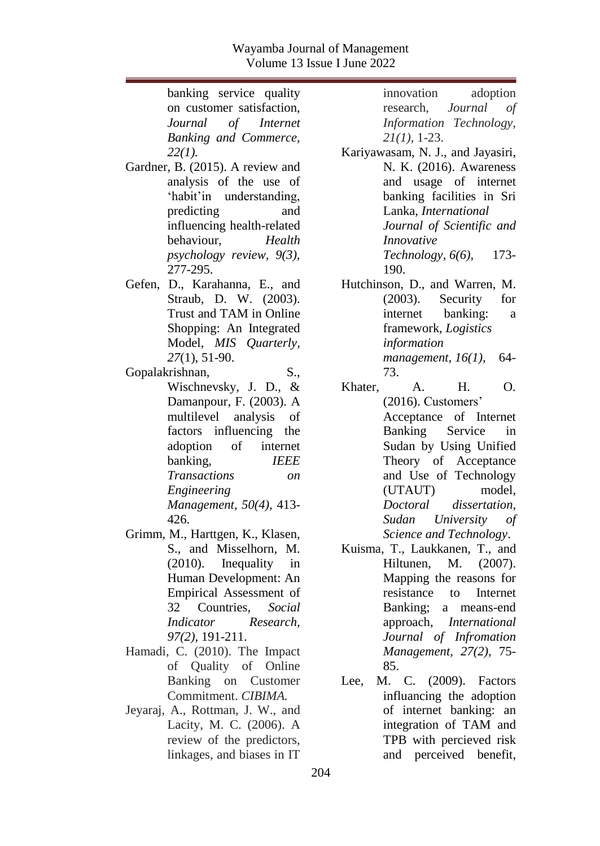banking service quality on customer satisfaction,<br>Journal of Internet *Journal of Internet Banking and Commerce, 22(1).* Gardner, B. (2015). A review and analysis of the use of 'habit'in understanding, predicting and influencing health-related behaviour, *Health psychology review, 9(3),* 277-295. Gefen, D., Karahanna, E., and Straub, D. W. (2003). Trust and TAM in Online Shopping: An Integrated Model, *MIS Quarterly, 27*(1), 51-90. Gopalakrishnan, S., Wischnevsky, J. D., & Damanpour, F. (2003). A multilevel analysis of factors influencing the adoption of internet banking, *IEEE Transactions on Engineering Management, 50(4),* 413- 426. Grimm, M., Harttgen, K., Klasen, S., and Misselhorn, M. (2010). Inequality in Human Development: An Empirical Assessment of 32 Countries, *Social Indicator Research, 97(2)*, 191-211. Hamadi, C. (2010). The Impact of Quality of Online Banking on Customer Commitment. *CIBIMA.* Jeyaraj, A., Rottman, J. W., and Lacity, M. C. (2006). A review of the predictors, linkages, and biases in IT

innovation adoption research, *Journal of Information Technology, 21(1),* 1-23.

Kariyawasam, N. J., and Jayasiri, N. K. (2016). Awareness and usage of internet banking facilities in Sri Lanka, *International Journal of Scientific and Innovative Technology, 6(6),* 173- 190.

Hutchinson, D., and Warren, M. (2003). Security for internet banking: a framework, *Logistics information management, 16(1),* 64- 73.

Khater, A. H. O. (2016). Customers' Acceptance of Internet Banking Service in Sudan by Using Unified Theory of Acceptance and Use of Technology (UTAUT) model, *Doctoral dissertation, Sudan University of Science and Technology*.

Kuisma, T., Laukkanen, T., and Hiltunen, M. (2007). Mapping the reasons for resistance to Internet Banking; a means-end approach, *International Journal of Infromation Management, 27(2),* 75- 85.

Lee, M. C. (2009). Factors influancing the adoption of internet banking: an integration of TAM and TPB with percieved risk and perceived benefit,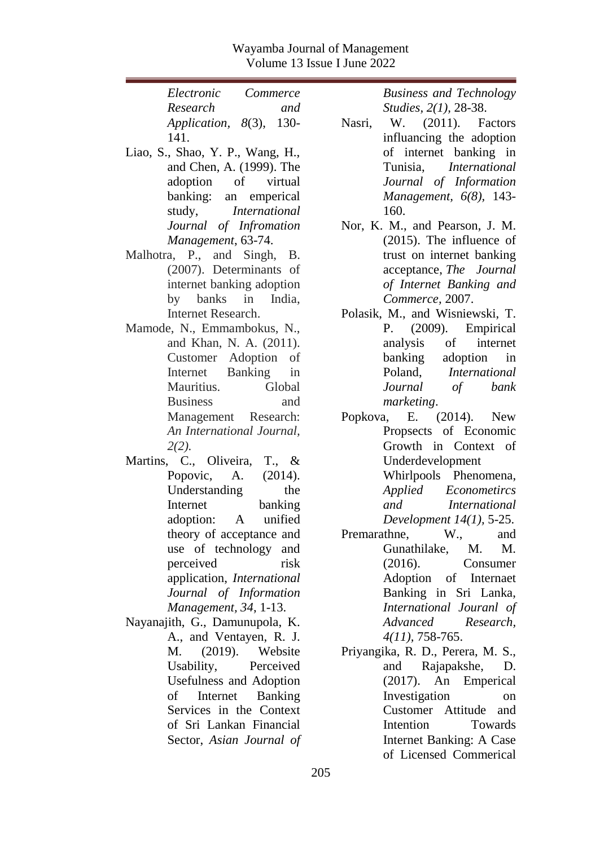| Electronic                         | Commerce |
|------------------------------------|----------|
| Research                           | and      |
| Application, $8(3)$ , 130-<br>141. |          |

- Liao, S., Shao, Y. P., Wang, H., and Chen, A. (1999). The adoption of virtual banking: an emperical study, *International Journal of Infromation Management*, 63-74.
- Malhotra, P., and Singh, B. (2007). Determinants of internet banking adoption by banks in India, Internet Research.
- Mamode, N., Emmambokus, N., and Khan, N. A. (2011). Customer Adoption of Internet Banking in Mauritius. Global Business and Management Research: *An International Journal, 2(2).*
- Martins, C., Oliveira, T., & Popovic, A. (2014). Understanding the Internet banking adoption: A unified theory of acceptance and use of technology and perceived risk application, *International Journal of Information Management, 34*, 1-13.
- Nayanajith, G., Damunupola, K. A., and Ventayen, R. J. M. (2019). Website Usability, Perceived Usefulness and Adoption of Internet Banking Services in the Context of Sri Lankan Financial Sector, *Asian Journal of*

*Business and Technology Studies, 2(1),* 28-38.

- Nasri, W. (2011). Factors influancing the adoption of internet banking in Tunisia, *International Journal of Information Management, 6(8),* 143- 160.
- Nor, K. M., and Pearson, J. M. (2015). The influence of trust on internet banking acceptance, *The Journal of Internet Banking and Commerce,* 2007.
- Polasik, M., and Wisniewski, T. P. (2009). Empirical analysis of internet banking adoption in Poland, *International Journal of bank marketing*.
- Popkova, E. (2014). New Propsects of Economic Growth in Context of Underdevelopment Whirlpools Phenomena, *Applied Econometircs and International Development 14(1),* 5-25.
- Premarathne, W., and Gunathilake, M. M. (2016). Consumer Adoption of Internaet Banking in Sri Lanka, *International Jouranl of Advanced Research, 4(11),* 758-765.
- Priyangika, R. D., Perera, M. S., and Rajapakshe, D. (2017). An Emperical Investigation on Customer Attitude and Intention Towards Internet Banking: A Case of Licensed Commerical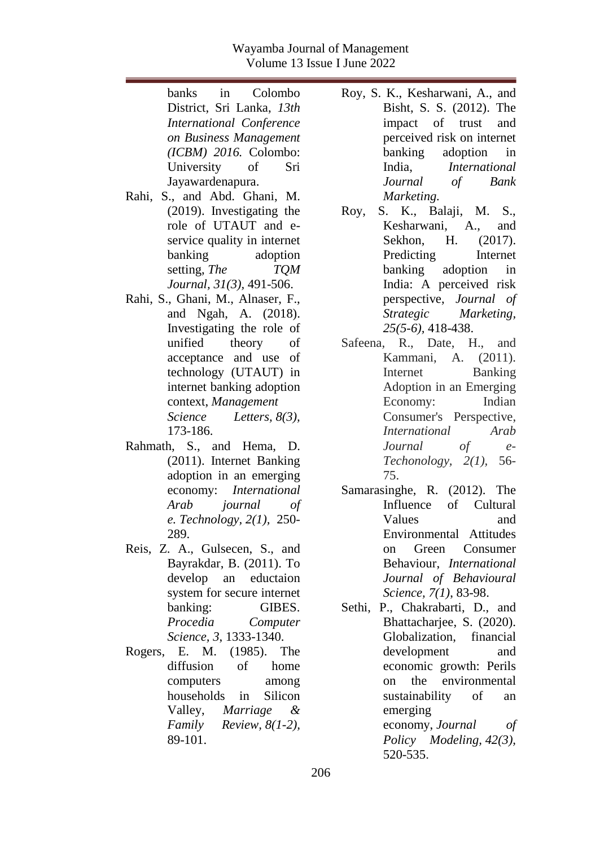banks in Colombo District, Sri Lanka, *13th International Conference on Business Management (ICBM) 2016.* Colombo: University of Sri Jayawardenapura.

- Rahi, S., and Abd. Ghani, M. (2019). Investigating the role of UTAUT and eservice quality in internet banking adoption setting, *The TQM Journal, 31(3),* 491-506.
- Rahi, S., Ghani, M., Alnaser, F., and Ngah, A. (2018). Investigating the role of unified theory of acceptance and use of technology (UTAUT) in internet banking adoption context, *Management Science Letters, 8(3),* 173-186.
- Rahmath, S., and Hema, D. (2011). Internet Banking adoption in an emerging economy: *International Arab journal of e. Technology, 2(1),* 250- 289.
- Reis, Z. A., Gulsecen, S., and Bayrakdar, B. (2011). To develop an eductaion system for secure internet banking: GIBES. *Procedia Computer Science, 3*, 1333-1340.
- Rogers, E. M. (1985). The diffusion of home computers among households in Silicon Valley, *Marriage & Family Review, 8(1-2),* 89-101.

Roy, S. K., Kesharwani, A., and Bisht, S. S. (2012). The impact of trust and perceived risk on internet banking adoption in India, *International Journal of Bank Marketing.*

- Roy, S. K., Balaji, M. S., Kesharwani, A., and Sekhon, H. (2017). Predicting Internet banking adoption in India: A perceived risk perspective, *Journal of Strategic Marketing, 25(5-6),* 418-438.
- Safeena, R., Date, H., and Kammani, A. (2011). Internet Banking Adoption in an Emerging Economy: Indian Consumer's Perspective, *International Arab Journal of e-Techonology, 2(1),* 56- 75.
- Samarasinghe, R. (2012). The Influence of Cultural Values and Environmental Attitudes on Green Consumer Behaviour, *International Journal of Behavioural Science, 7(1)*, 83-98.
- Sethi, P., Chakrabarti, D., and Bhattachariee, S. (2020). Globalization, financial development and economic growth: Perils on the environmental sustainability of an emerging economy, *Journal of Policy Modeling, 42(3),* 520-535.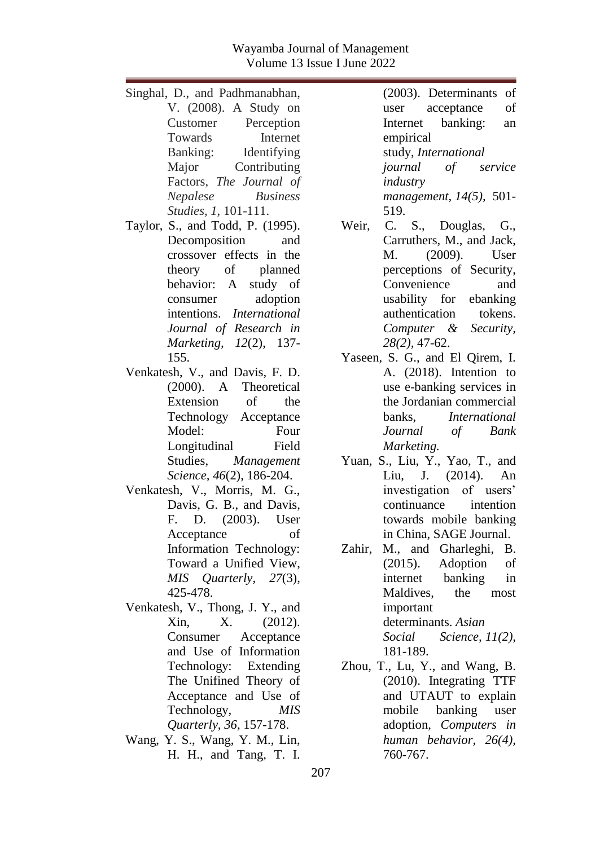| Singhal, D., and Padhmanabhan,    | (2003). Determinants of         |
|-----------------------------------|---------------------------------|
| V. (2008). A Study on             | of<br>user<br>acceptance        |
| Customer Perception               | Internet banking:<br>an         |
| Internet<br>Towards               | empirical                       |
| Banking: Identifying              | study, International            |
| Major<br>Contributing             | journal of service              |
| Factors, The Journal of           | industry                        |
| Nepalese Business                 | management, $14(5)$ , 501-      |
| Studies, 1, 101-111.              | 519.                            |
| Taylor, S., and Todd, P. (1995).  | C. S., Douglas, G.,<br>Weir,    |
| Decomposition<br>and              | Carruthers, M., and Jack,       |
| crossover effects in the          | M. (2009). User                 |
| theory of planned                 | perceptions of Security,        |
| behavior: A study of              | Convenience<br>and              |
| adoption<br>consumer              | usability for ebanking          |
| intentions. International         | authentication<br>tokens.       |
| Journal of Research in            | Computer & Security,            |
| Marketing, 12(2), 137-            | $28(2)$ , 47-62.                |
| 155.                              | Yaseen, S. G., and El Qirem, I. |
| Venkatesh, V., and Davis, F. D.   | A. (2018). Intention to         |
| (2000). A Theoretical             | use e-banking services in       |
| Extension<br><sub>of</sub><br>the | the Jordanian commercial        |
| Technology Acceptance             | banks,<br><i>International</i>  |
| Model:<br>Four                    | Journal of Bank                 |
| Longitudinal Field                | Marketing.                      |
| Studies, Management               | Yuan, S., Liu, Y., Yao, T., and |
| Science, 46(2), 186-204.          | Liu, J. (2014). An              |
| Venkatesh, V., Morris, M. G.,     | investigation of users'         |
| Davis, G. B., and Davis,          | continuance intention           |
| F. D. (2003). User                | towards mobile banking          |
| of<br>Acceptance                  | in China, SAGE Journal.         |
| Information Technology:           | M., and Gharleghi, B.<br>Zahir, |
| Toward a Unified View,            | $(2015)$ . Adoption<br>of       |
| MIS Quarterly, 27(3),             | internet banking<br>in          |
| 425-478.                          | Maldives, the most              |
| Venkatesh, V., Thong, J. Y., and  | important                       |
| X.<br>Xin,<br>(2012).             | determinants. Asian             |
| Consumer<br>Acceptance            | Social<br>Science, $11(2)$ ,    |
| and Use of Information            | 181-189.                        |
| Technology: Extending             | Zhou, T., Lu, Y., and Wang, B.  |
| The Unifined Theory of            | (2010). Integrating TTF         |
| Acceptance and Use of             | and UTAUT to explain            |
| Technology,<br><b>MIS</b>         | mobile<br>banking<br>user       |
| Quarterly, 36, 157-178.           | adoption, Computers in          |
| Wang, Y. S., Wang, Y. M., Lin,    | human behavior, 26(4),          |
| H. H., and Tang, T. I.            | 760-767.                        |